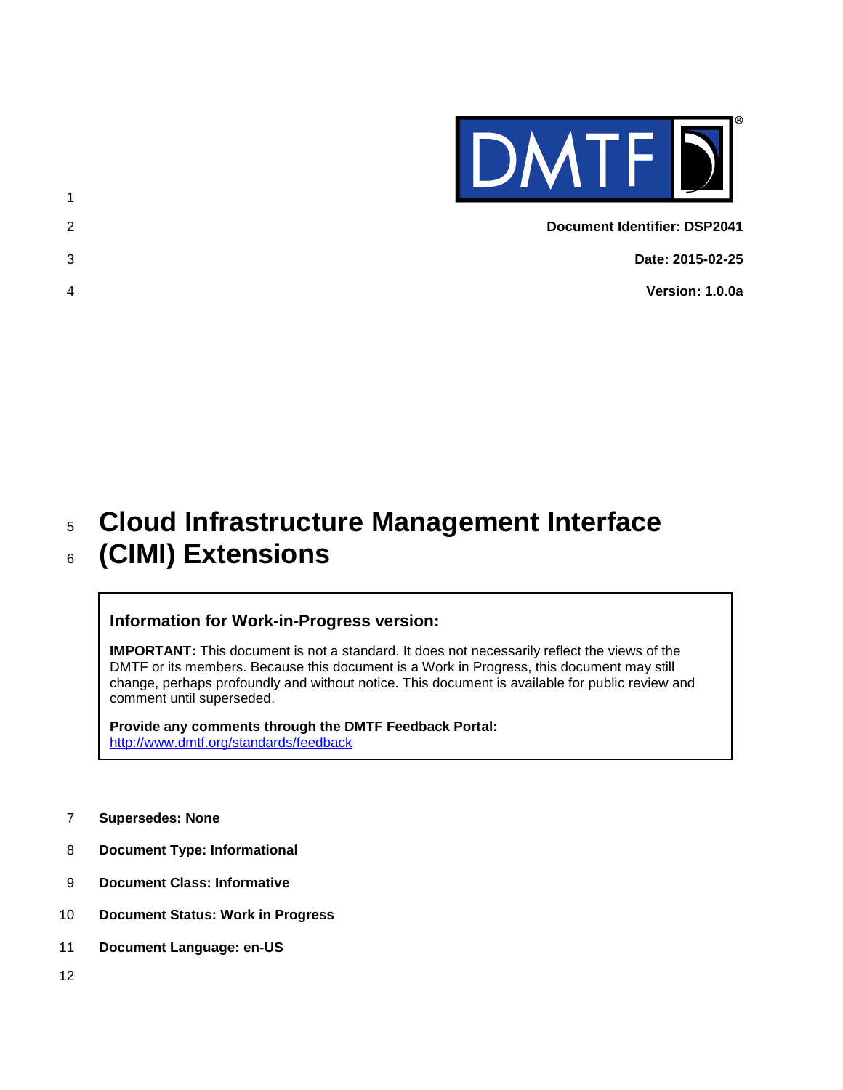

| <b>Document Identifier: DSP2041</b> | 2              |
|-------------------------------------|----------------|
| Date: 2015-02-25                    | 3              |
| Version: 1.0.0a                     | $\overline{4}$ |
|                                     |                |

## **Cloud Infrastructure Management Interface (CIMI) Extensions**

#### **Information for Work-in-Progress version:**

**IMPORTANT:** This document is not a standard. It does not necessarily reflect the views of the DMTF or its members. Because this document is a Work in Progress, this document may still change, perhaps profoundly and without notice. This document is available for public review and comment until superseded.

**Provide any comments through the DMTF Feedback Portal:**  <http://www.dmtf.org/standards/feedback>

- **Supersedes: None**
- **Document Type: Informational**
- **Document Class: Informative**
- **Document Status: Work in Progress**
- **Document Language: en-US**
-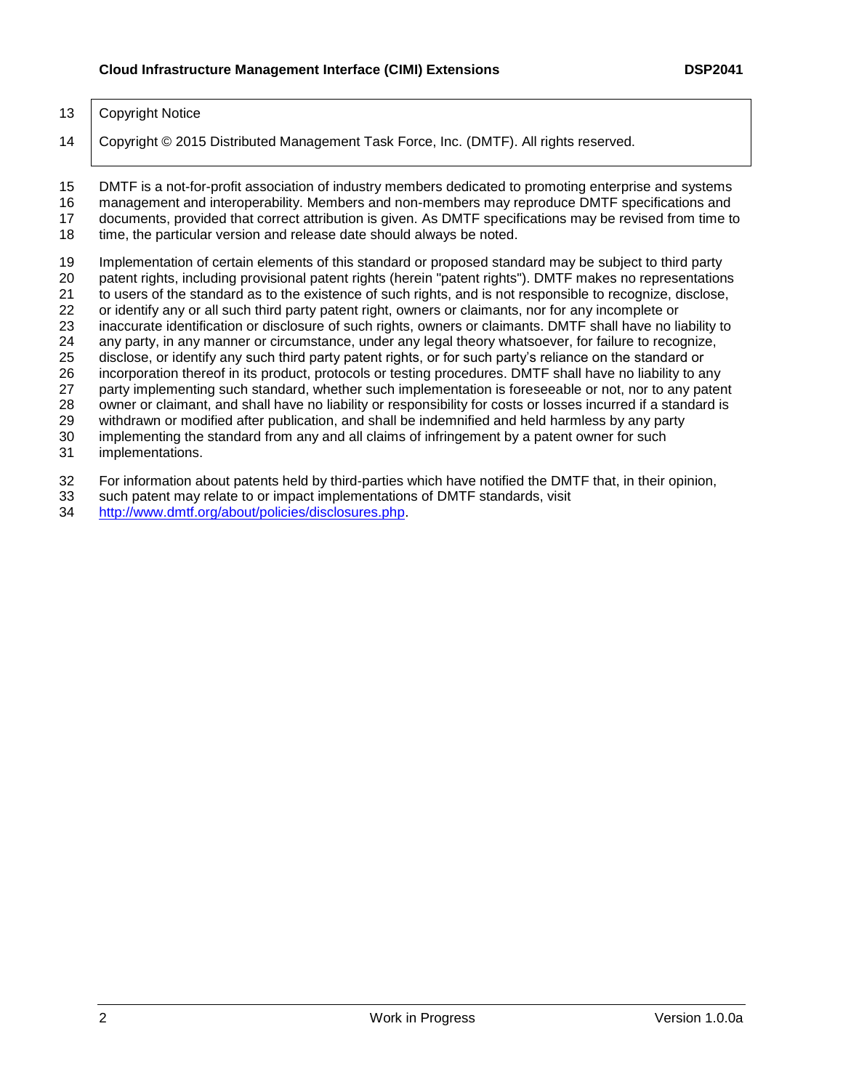#### 13 | Copyright Notice

Copyright © 2015 Distributed Management Task Force, Inc. (DMTF). All rights reserved.

 DMTF is a not-for-profit association of industry members dedicated to promoting enterprise and systems management and interoperability. Members and non-members may reproduce DMTF specifications and

documents, provided that correct attribution is given. As DMTF specifications may be revised from time to

time, the particular version and release date should always be noted.

Implementation of certain elements of this standard or proposed standard may be subject to third party

patent rights, including provisional patent rights (herein "patent rights"). DMTF makes no representations

to users of the standard as to the existence of such rights, and is not responsible to recognize, disclose,

22 or identify any or all such third party patent right, owners or claimants, nor for any incomplete or <br>23 inaccurate identification or disclosure of such rights, owners or claimants. DMTF shall have no li inaccurate identification or disclosure of such rights, owners or claimants. DMTF shall have no liability to

24 any party, in any manner or circumstance, under any legal theory whatsoever, for failure to recognize,<br>25 disclose, or identify any such third party patent rights, or for such party's reliance on the standard or disclose, or identify any such third party patent rights, or for such party's reliance on the standard or

incorporation thereof in its product, protocols or testing procedures. DMTF shall have no liability to any

party implementing such standard, whether such implementation is foreseeable or not, nor to any patent

owner or claimant, and shall have no liability or responsibility for costs or losses incurred if a standard is

withdrawn or modified after publication, and shall be indemnified and held harmless by any party

implementing the standard from any and all claims of infringement by a patent owner for such

implementations.

For information about patents held by third-parties which have notified the DMTF that, in their opinion,

- such patent may relate to or impact implementations of DMTF standards, visit
- [http://www.dmtf.org/about/policies/disclosures.php.](http://www.dmtf.org/about/policies/disclosures.php)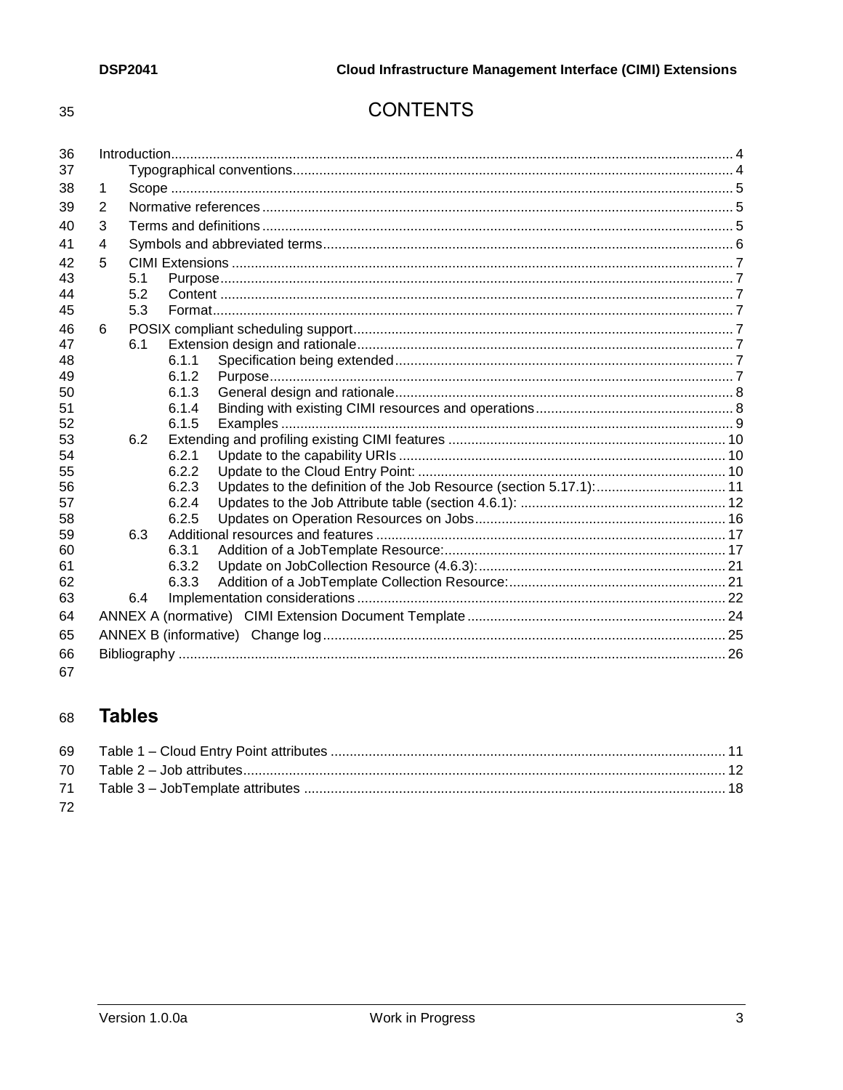#### 35

### **CONTENTS**

| 36       |   |     |       |  |  |  |  |
|----------|---|-----|-------|--|--|--|--|
| 37       |   |     |       |  |  |  |  |
| 38       | 1 |     |       |  |  |  |  |
| 39       | 2 |     |       |  |  |  |  |
| 40       | 3 |     |       |  |  |  |  |
| 41       | 4 |     |       |  |  |  |  |
| 42       | 5 |     |       |  |  |  |  |
| 43       |   | 5.1 |       |  |  |  |  |
| 44       |   | 5.2 |       |  |  |  |  |
| 45       |   | 5.3 |       |  |  |  |  |
| 46       | 6 |     |       |  |  |  |  |
| 47       |   | 6.1 |       |  |  |  |  |
| 48       |   |     | 6.1.1 |  |  |  |  |
| 49       |   |     | 6.1.2 |  |  |  |  |
| 50       |   |     | 6.1.3 |  |  |  |  |
| 51       |   |     | 6.1.4 |  |  |  |  |
| 52       |   |     | 6.1.5 |  |  |  |  |
| 53<br>54 |   | 6.2 | 6.2.1 |  |  |  |  |
| 55       |   |     | 6.2.2 |  |  |  |  |
| 56       |   |     | 6.2.3 |  |  |  |  |
| 57       |   |     | 6.2.4 |  |  |  |  |
| 58       |   |     | 6.2.5 |  |  |  |  |
| 59       |   | 6.3 |       |  |  |  |  |
| 60       |   |     | 6.3.1 |  |  |  |  |
| 61       |   |     | 6.3.2 |  |  |  |  |
| 62       |   |     | 6.3.3 |  |  |  |  |
| 63       |   | 6.4 |       |  |  |  |  |
| 64       |   |     |       |  |  |  |  |
| 65       |   |     |       |  |  |  |  |
| 66       |   |     |       |  |  |  |  |
| 67       |   |     |       |  |  |  |  |

#### **Tables** 68

| 72 |  |
|----|--|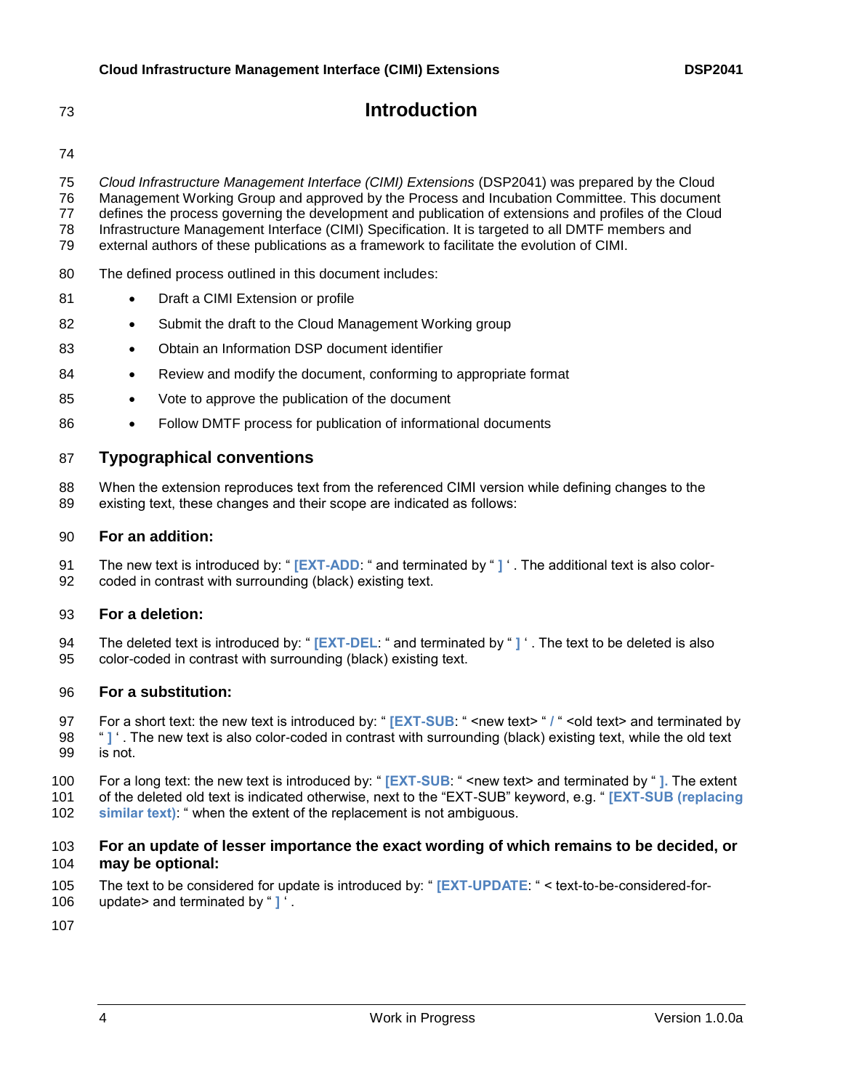# <span id="page-3-0"></span> **Introduction**

 *Cloud Infrastructure Management Interface (CIMI) Extensions* (DSP2041) was prepared by the Cloud Management Working Group and approved by the Process and Incubation Committee. This document defines the process governing the development and publication of extensions and profiles of the Cloud Infrastructure Management Interface (CIMI) Specification. It is targeted to all DMTF members and

- external authors of these publications as a framework to facilitate the evolution of CIMI.
- The defined process outlined in this document includes:
- 81 Draft a CIMI Extension or profile
- 82 Submit the draft to the Cloud Management Working group
- **•** Obtain an Information DSP document identifier
- **BACK** Review and modify the document, conforming to appropriate format
- 85 Vote to approve the publication of the document
- <span id="page-3-1"></span>86 • Follow DMTF process for publication of informational documents

#### **Typographical conventions**

 When the extension reproduces text from the referenced CIMI version while defining changes to the existing text, these changes and their scope are indicated as follows:

#### **For an addition:**

 The new text is introduced by: " **[EXT-ADD**: " and terminated by " **]** ' . The additional text is also color-coded in contrast with surrounding (black) existing text.

#### **For a deletion:**

 The deleted text is introduced by: " **[EXT-DEL**: " and terminated by " **]** ' . The text to be deleted is also color-coded in contrast with surrounding (black) existing text.

#### **For a substitution:**

- 97 For a short text: the new text is introduced by: " **[EXT-SUB:** " <new text> " / " <old text> and terminated by
- " **]** ' . The new text is also color-coded in contrast with surrounding (black) existing text, while the old text is not.
- For a long text: the new text is introduced by: " **[EXT-SUB**: " <new text> and terminated by " **].** The extent of the deleted old text is indicated otherwise, next to the "EXT-SUB" keyword, e.g. " **[EXT-SUB (replacing similar text)**: " when the extent of the replacement is not ambiguous.

#### **For an update of lesser importance the exact wording of which remains to be decided, or may be optional:**

- The text to be considered for update is introduced by: " **[EXT-UPDATE**: " < text-to-be-considered-for-
- update> and terminated by " **]** ' .
-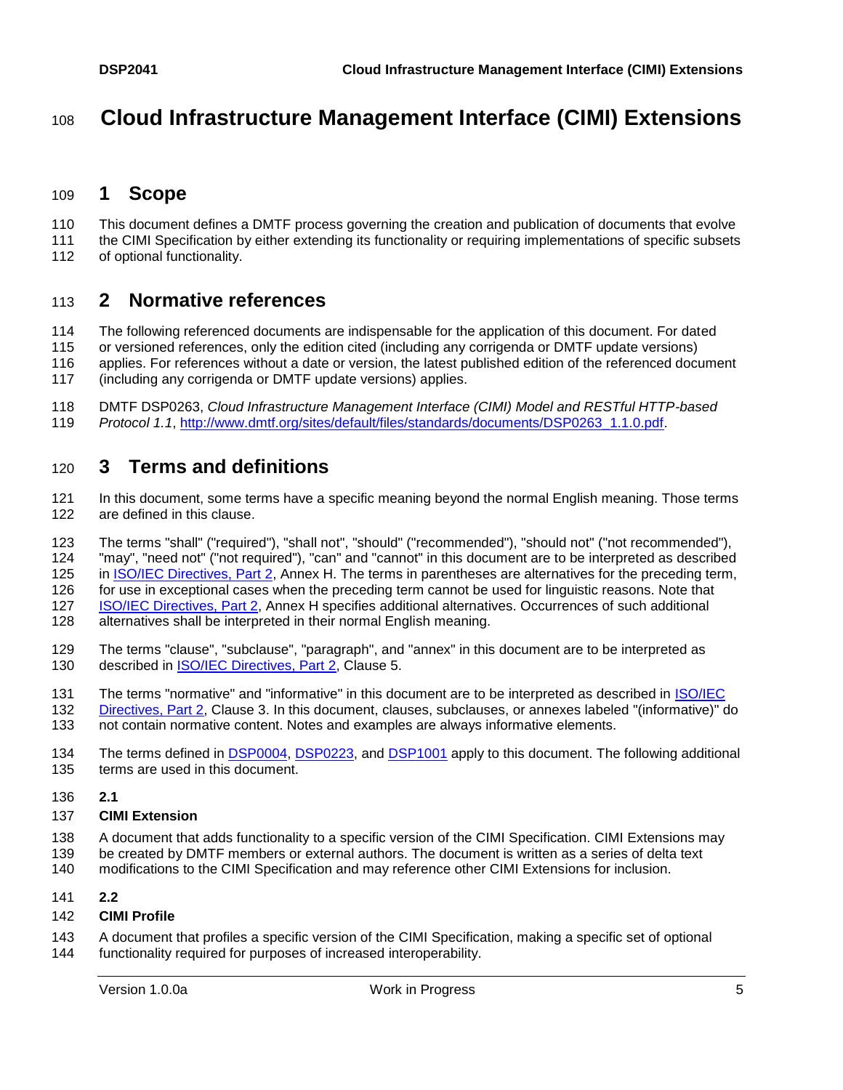### **Cloud Infrastructure Management Interface (CIMI) Extensions**

### <span id="page-4-0"></span>**1 Scope**

- This document defines a DMTF process governing the creation and publication of documents that evolve
- the CIMI Specification by either extending its functionality or requiring implementations of specific subsets of optional functionality.

### <span id="page-4-1"></span>**2 Normative references**

The following referenced documents are indispensable for the application of this document. For dated

 or versioned references, only the edition cited (including any corrigenda or DMTF update versions) applies. For references without a date or version, the latest published edition of the referenced document

(including any corrigenda or DMTF update versions) applies.

<span id="page-4-3"></span>DMTF DSP0263, *Cloud Infrastructure Management Interface (CIMI) Model and RESTful HTTP-based* 

<span id="page-4-2"></span>*Protocol 1.1*, [http://www.dmtf.org/sites/default/files/standards/documents/DSP0263\\_1.1.0.pdf.](http://www.dmtf.org/sites/default/files/standards/documents/DSP0263_1.1.0.pdf)

### **3 Terms and definitions**

- In this document, some terms have a specific meaning beyond the normal English meaning. Those terms are defined in this clause.
- The terms "shall" ("required"), "shall not", "should" ("recommended"), "should not" ("not recommended"),
- "may", "need not" ("not required"), "can" and "cannot" in this document are to be interpreted as described
- 125 in <u>ISO/IEC Directives, Part 2</u>, Annex H. The terms in parentheses are alternatives for the preceding term, for use in exceptional cases when the preceding term cannot be used for linguistic reasons. Note that
- ISO/IEC Directives, Part 2, Annex H specifies additional alternatives. Occurrences of such additional
- alternatives shall be interpreted in their normal English meaning.
- The terms "clause", "subclause", "paragraph", and "annex" in this document are to be interpreted as 130 described in ISO/IEC Directives, Part 2, Clause 5.
- The terms "normative" and "informative" in this document are to be interpreted as described in ISO/IEC
- Directives, Part 2, Clause 3. In this document, clauses, subclauses, or annexes labeled "(informative)" do not contain normative content. Notes and examples are always informative elements.
- 134 The terms defined in DSP0004, [DSP0223,](#page-4-3) and DSP1001 apply to this document. The following additional terms are used in this document.
- **2.1**

#### **CIMI Extension**

- A document that adds functionality to a specific version of the CIMI Specification. CIMI Extensions may
- be created by DMTF members or external authors. The document is written as a series of delta text
- modifications to the CIMI Specification and may reference other CIMI Extensions for inclusion.

#### **2.2**

#### **CIMI Profile**

 A document that profiles a specific version of the CIMI Specification, making a specific set of optional functionality required for purposes of increased interoperability.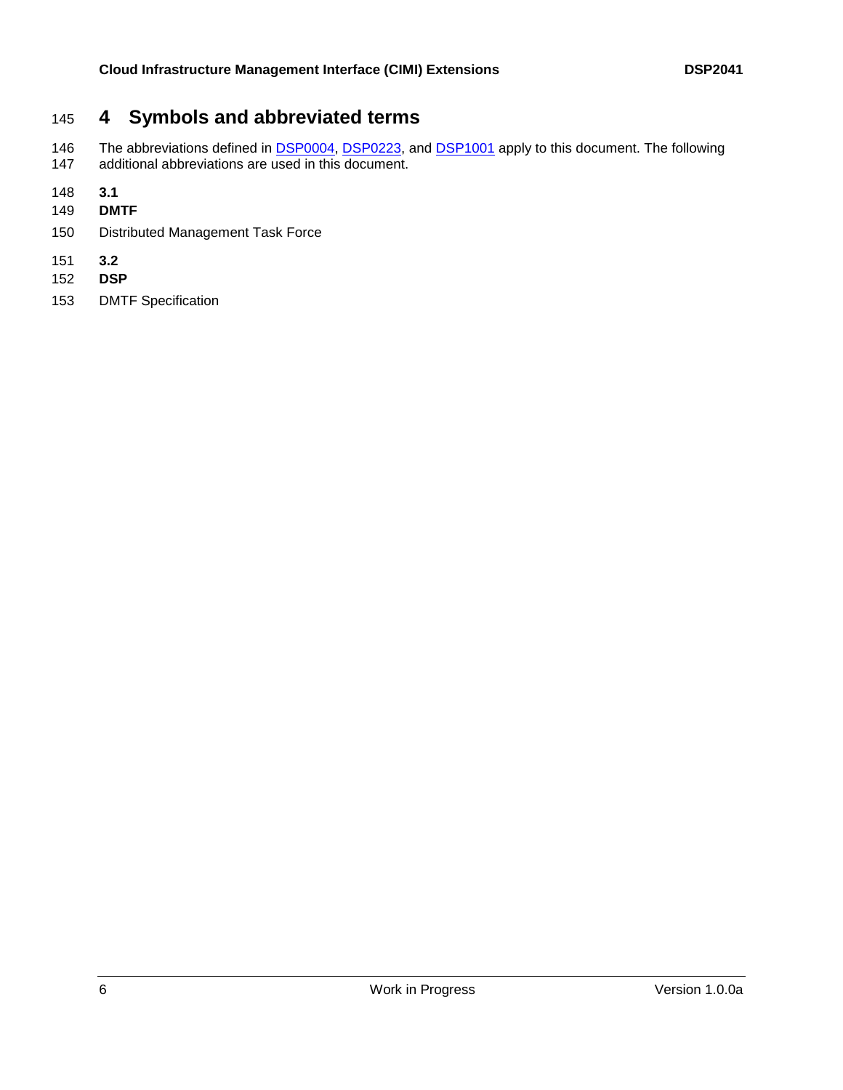### <span id="page-5-0"></span>**4 Symbols and abbreviated terms**

- 146 The abbreviations defined in **DSP0004**, [DSP0223,](#page-4-3) and **DSP1001** apply to this document. The following additional abbreviations are used in this document.
- **3.1**
- **DMTF**
- Distributed Management Task Force
- **3.2**
- **DSP**
- DMTF Specification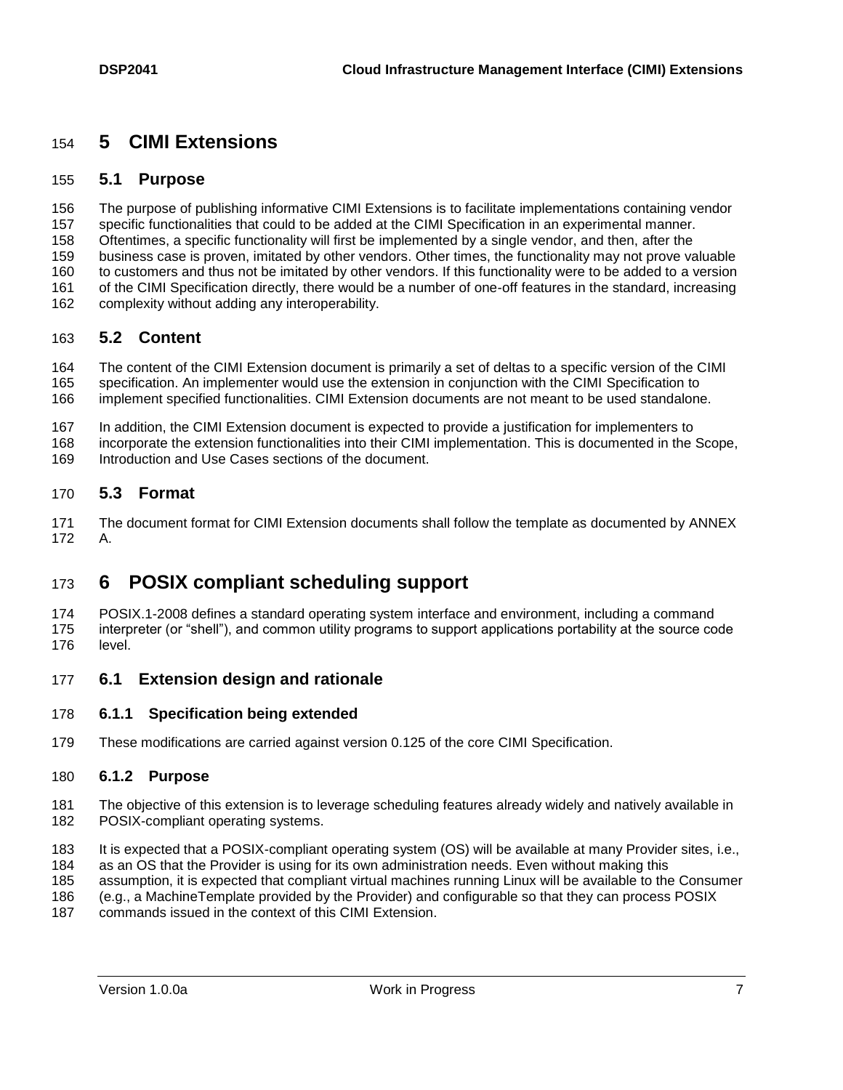### <span id="page-6-0"></span>**5 CIMI Extensions**

#### <span id="page-6-1"></span>**5.1 Purpose**

The purpose of publishing informative CIMI Extensions is to facilitate implementations containing vendor

 specific functionalities that could to be added at the CIMI Specification in an experimental manner. Oftentimes, a specific functionality will first be implemented by a single vendor, and then, after the

business case is proven, imitated by other vendors. Other times, the functionality may not prove valuable

to customers and thus not be imitated by other vendors. If this functionality were to be added to a version

of the CIMI Specification directly, there would be a number of one-off features in the standard, increasing

<span id="page-6-2"></span>complexity without adding any interoperability.

#### **5.2 Content**

 The content of the CIMI Extension document is primarily a set of deltas to a specific version of the CIMI specification. An implementer would use the extension in conjunction with the CIMI Specification to

- implement specified functionalities. CIMI Extension documents are not meant to be used standalone.
- In addition, the CIMI Extension document is expected to provide a justification for implementers to
- incorporate the extension functionalities into their CIMI implementation. This is documented in the Scope, Introduction and Use Cases sections of the document.

### <span id="page-6-3"></span>**5.3 Format**

 The document format for CIMI Extension documents shall follow the template as documented by [ANNEX](#page-23-1)  [A.](#page-23-1)

### <span id="page-6-4"></span>**6 POSIX compliant scheduling support**

 POSIX.1-2008 defines a standard operating system interface and environment, including a command interpreter (or "shell"), and common utility programs to support applications portability at the source code level.

#### <span id="page-6-5"></span>**6.1 Extension design and rationale**

#### <span id="page-6-6"></span>**6.1.1 Specification being extended**

<span id="page-6-7"></span>These modifications are carried against version 0.125 of the core CIMI Specification.

#### **6.1.2 Purpose**

 The objective of this extension is to leverage scheduling features already widely and natively available in POSIX-compliant operating systems.

- It is expected that a POSIX-compliant operating system (OS) will be available at many Provider sites, i.e.,
- as an OS that the Provider is using for its own administration needs. Even without making this
- assumption, it is expected that compliant virtual machines running Linux will be available to the Consumer
- (e.g., a MachineTemplate provided by the Provider) and configurable so that they can process POSIX
- commands issued in the context of this CIMI Extension.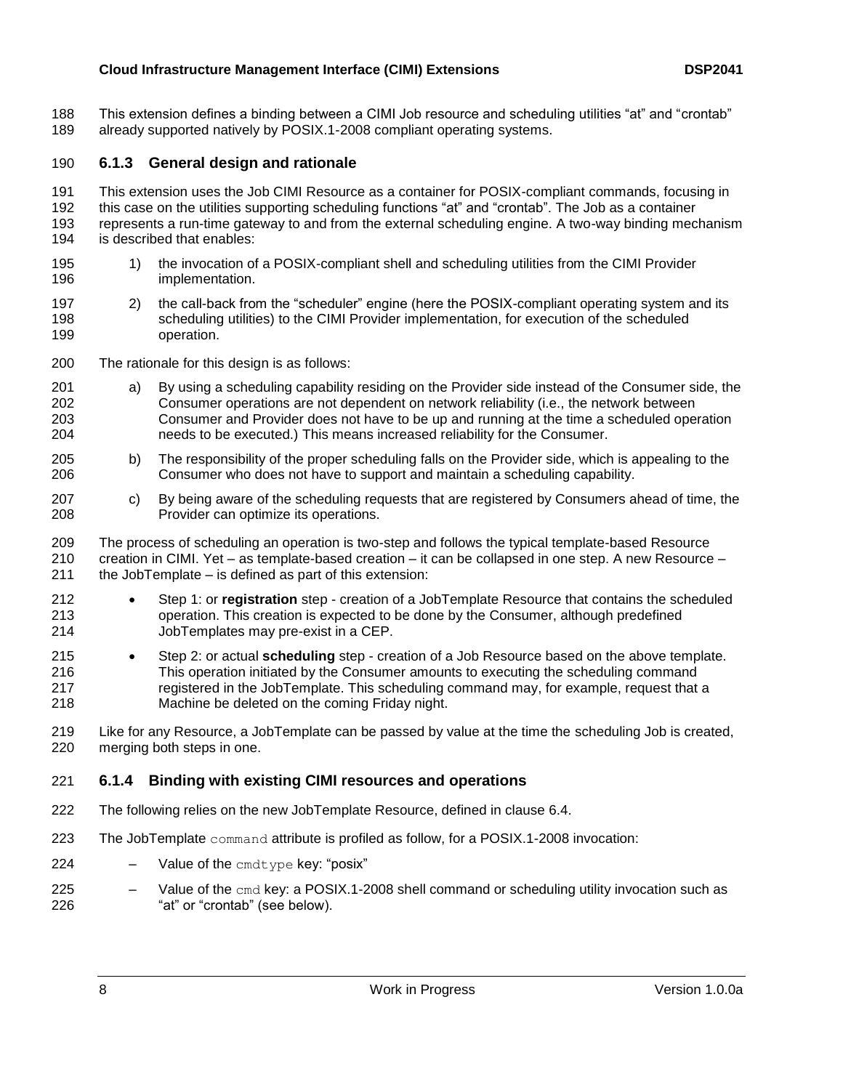#### **Cloud Infrastructure Management Interface (CIMI) Extensions DSP2041**

 This extension defines a binding between a CIMI Job resource and scheduling utilities "at" and "crontab" already supported natively by POSIX.1-2008 compliant operating systems.

#### <span id="page-7-0"></span>**6.1.3 General design and rationale**

 This extension uses the Job CIMI Resource as a container for POSIX-compliant commands, focusing in this case on the utilities supporting scheduling functions "at" and "crontab". The Job as a container represents a run-time gateway to and from the external scheduling engine. A two-way binding mechanism is described that enables:

- 1) the invocation of a POSIX-compliant shell and scheduling utilities from the CIMI Provider implementation.
- 2) the call-back from the "scheduler" engine (here the POSIX-compliant operating system and its scheduling utilities) to the CIMI Provider implementation, for execution of the scheduled operation.
- The rationale for this design is as follows:
- a) By using a scheduling capability residing on the Provider side instead of the Consumer side, the Consumer operations are not dependent on network reliability (i.e., the network between Consumer and Provider does not have to be up and running at the time a scheduled operation needs to be executed.) This means increased reliability for the Consumer.
- b) The responsibility of the proper scheduling falls on the Provider side, which is appealing to the Consumer who does not have to support and maintain a scheduling capability.
- c) By being aware of the scheduling requests that are registered by Consumers ahead of time, the Provider can optimize its operations.
- The process of scheduling an operation is two-step and follows the typical template-based Resource creation in CIMI. Yet – as template-based creation – it can be collapsed in one step. A new Resource – the JobTemplate – is defined as part of this extension:
- **Step 1: or registration** step creation of a JobTemplate Resource that contains the scheduled operation. This creation is expected to be done by the Consumer, although predefined JobTemplates may pre-exist in a CEP.
- 215 Step 2: or actual **scheduling** step creation of a Job Resource based on the above template. This operation initiated by the Consumer amounts to executing the scheduling command registered in the JobTemplate. This scheduling command may, for example, request that a Machine be deleted on the coming Friday night.
- Like for any Resource, a JobTemplate can be passed by value at the time the scheduling Job is created, merging both steps in one.

#### <span id="page-7-1"></span>**6.1.4 Binding with existing CIMI resources and operations**

- The following relies on the new JobTemplate Resource, defined in clause [6.4.](#page-21-0)
- 223 The JobTemplate command attribute is profiled as follow, for a POSIX.1-2008 invocation:
- $224 -$  Value of the cmdtype key: "posix"
- Value of the cmd key: a POSIX.1-2008 shell command or scheduling utility invocation such as "at" or "crontab" (see below).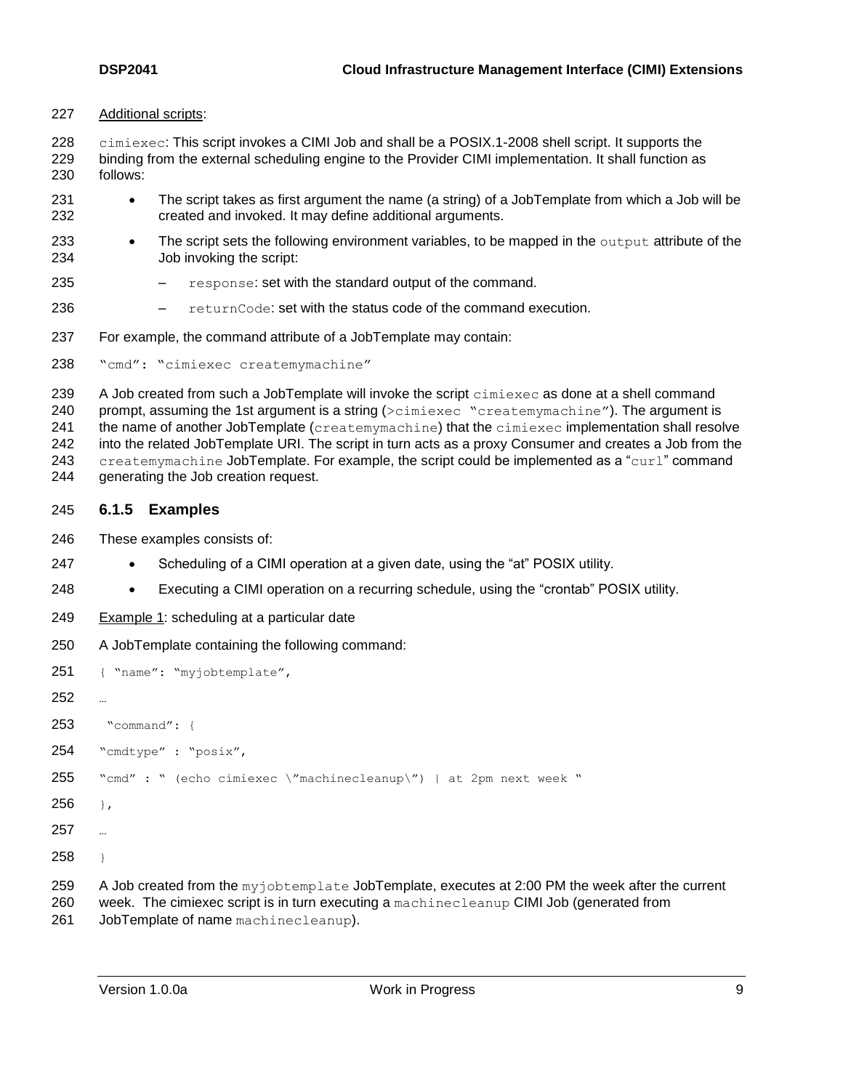227 Additional scripts:

 cimiexec: This script invokes a CIMI Job and shall be a POSIX.1-2008 shell script. It supports the binding from the external scheduling engine to the Provider CIMI implementation. It shall function as follows:

- The script takes as first argument the name (a string) of a JobTemplate from which a Job will be created and invoked. It may define additional arguments.
- **•** The script sets the following environment variables, to be mapped in the output attribute of the Job invoking the script:
- response: set with the standard output of the command.
- returnCode: set with the status code of the command execution.
- For example, the command attribute of a JobTemplate may contain:
- "cmd": "cimiexec createmymachine"

239 A Job created from such a JobTemplate will invoke the script cimiexec as done at a shell command 240 prompt, assuming the 1st argument is a string ( $\ge$ cimiexec "createmymachine"). The argument is 241 the name of another JobTemplate (createmymachine) that the cimiexec implementation shall resolve into the related JobTemplate URI. The script in turn acts as a proxy Consumer and creates a Job from the 243 createmymachine JobTemplate. For example, the script could be implemented as a "curl" command generating the Job creation request.

#### <span id="page-8-0"></span>**6.1.5 Examples**

- These examples consists of:
- 247 Scheduling of a CIMI operation at a given date, using the "at" POSIX utility.
- Executing a CIMI operation on a recurring schedule, using the "crontab" POSIX utility.
- Example 1: scheduling at a particular date
- A JobTemplate containing the following command:

```
251 { "name": "myjobtemplate",
252 …
253 "command": { 
254 "cmdtype" : "posix",
255 "cmd" : " (echo cimiexec \"machinecleanup\") | at 2pm next week " 
256 },
257 …
258 }
259 A Job created from the myjobtemplate JobTemplate, executes at 2:00 PM the week after the current
260 week. The cimiexec script is in turn executing a machinecleanup CIMI Job (generated from
```
261 JobTemplate of name machinecleanup).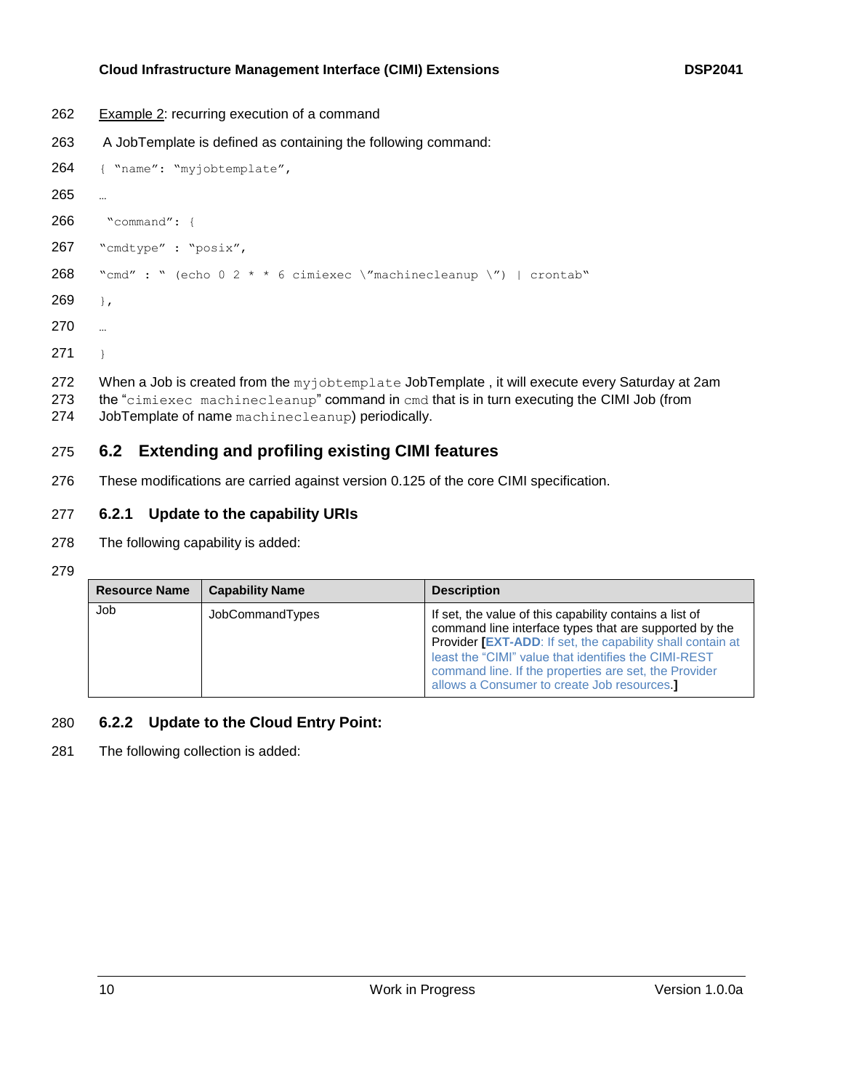- 262 Example 2: recurring execution of a command
- 263 A JobTemplate is defined as containing the following command:

264 { "name": "myjobtemplate",

265 …

- 266 "command": {
- 267 "cmdtype" : "posix",

```
268 "cmd" : " (echo 0 2 * * 6 cimiexec \"machinecleanup \") | crontab"
```
- $269$  },
- 270 …
- $271$  }
- 272 When a Job is created from the myjobtemplate JobTemplate, it will execute every Saturday at 2am
- 273 the "cimiexec machinecleanup" command in cmd that is in turn executing the CIMI Job (from
- <span id="page-9-0"></span>274 JobTemplate of name machinecleanup) periodically.

#### 275 **6.2 Extending and profiling existing CIMI features**

276 These modifications are carried against version 0.125 of the core CIMI specification.

#### <span id="page-9-1"></span>277 **6.2.1 Update to the capability URIs**

- 278 The following capability is added:
- 279

| <b>Resource Name</b> | <b>Capability Name</b> | <b>Description</b>                                                                                                                                                                                                                                                                                                                             |
|----------------------|------------------------|------------------------------------------------------------------------------------------------------------------------------------------------------------------------------------------------------------------------------------------------------------------------------------------------------------------------------------------------|
| Job                  | JobCommandTypes        | If set, the value of this capability contains a list of<br>command line interface types that are supported by the<br>Provider [EXT-ADD: If set, the capability shall contain at<br>least the "CIMI" value that identifies the CIMI-REST<br>command line. If the properties are set, the Provider<br>allows a Consumer to create Job resources. |

#### <span id="page-9-2"></span>280 **6.2.2 Update to the Cloud Entry Point:**

281 The following collection is added: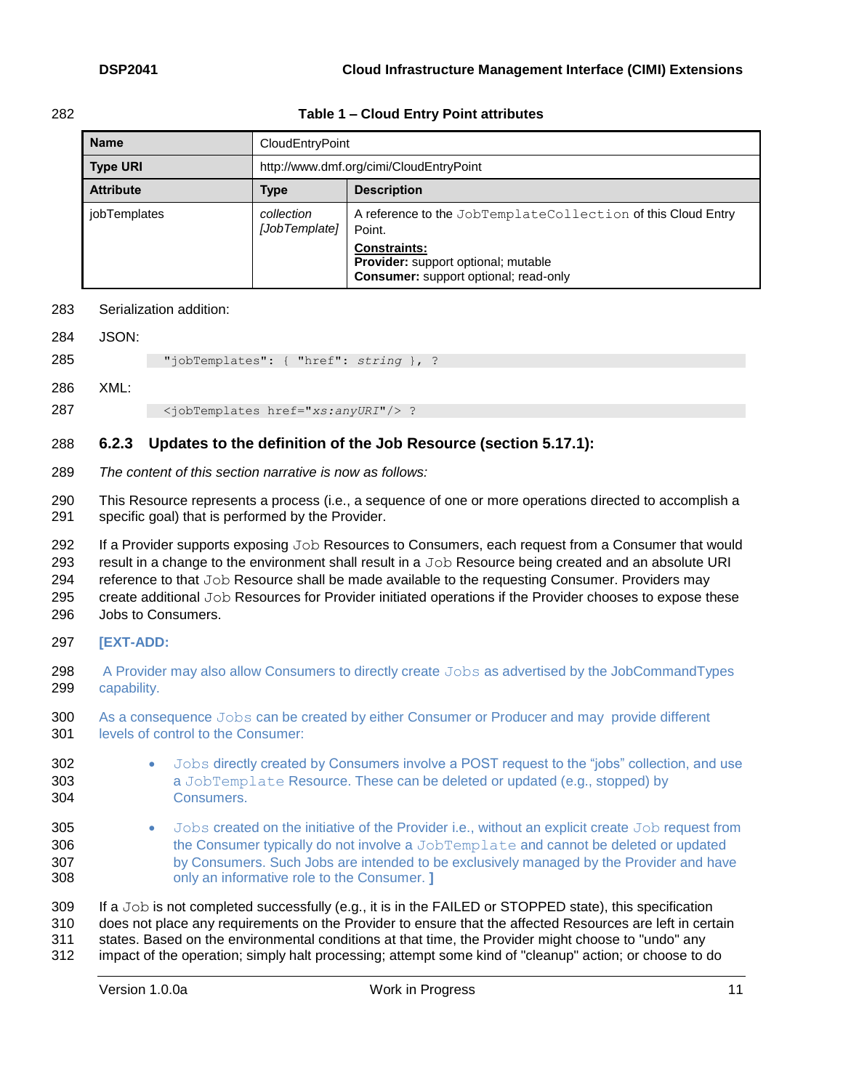#### 282 **Table 1 – Cloud Entry Point attributes**

<span id="page-10-1"></span>

| <b>Name</b>          | <b>CloudEntryPoint</b>                  |                                                                                                                                                                                             |  |
|----------------------|-----------------------------------------|---------------------------------------------------------------------------------------------------------------------------------------------------------------------------------------------|--|
| <b>Type URI</b>      | http://www.dmf.org/cimi/CloudEntryPoint |                                                                                                                                                                                             |  |
| <b>Attribute</b>     | Type                                    | <b>Description</b>                                                                                                                                                                          |  |
| <i>iob</i> Templates | collection<br>[JobTemplate]             | A reference to the JobTemplateCollection of this Cloud Entry<br>Point.<br><b>Constraints:</b><br><b>Provider:</b> support optional; mutable<br><b>Consumer:</b> support optional; read-only |  |

#### 283 Serialization addition:

- 284 JSON: 285 "jobTemplates": { "href": *string* }, ? 286 XML:
- <span id="page-10-0"></span>287 <jobTemplates href="*xs:anyURI*"/> ?

#### 288 **6.2.3 Updates to the definition of the Job Resource (section 5.17.1):**

289 *The content of this section narrative is now as follows:*

290 This Resource represents a process (i.e., a sequence of one or more operations directed to accomplish a 291 specific goal) that is performed by the Provider.

292 If a Provider supports exposing Job Resources to Consumers, each request from a Consumer that would

293 result in a change to the environment shall result in a Job Resource being created and an absolute URI 294 reference to that Job Resource shall be made available to the requesting Consumer. Providers may

295 create additional Job Resources for Provider initiated operations if the Provider chooses to expose these

- 296 Jobs to Consumers.
- 297 **[EXT-ADD:**
- 298 A Provider may also allow Consumers to directly create Jobs as advertised by the JobCommandTypes 299 capability.
- 300 As a consequence Jobs can be created by either Consumer or Producer and may provide different 301 levels of control to the Consumer:
- **302** Jobs directly created by Consumers involve a POST request to the "jobs" collection, and use 303 **a** JobTemplate Resource. These can be deleted or updated (e.g., stopped) by 304 Consumers.
- **305** Jobs created on the initiative of the Provider i.e., without an explicit create Job request from **306** the Consumer typically do not involve a JobTemplate and cannot be deleted or updated 307 by Consumers. Such Jobs are intended to be exclusively managed by the Provider and have 308 only an informative role to the Consumer. **]**
- 309 If a Job is not completed successfully (e.g., it is in the FAILED or STOPPED state), this specification
- 310 does not place any requirements on the Provider to ensure that the affected Resources are left in certain
- 311 states. Based on the environmental conditions at that time, the Provider might choose to "undo" any
- 312 impact of the operation; simply halt processing; attempt some kind of "cleanup" action; or choose to do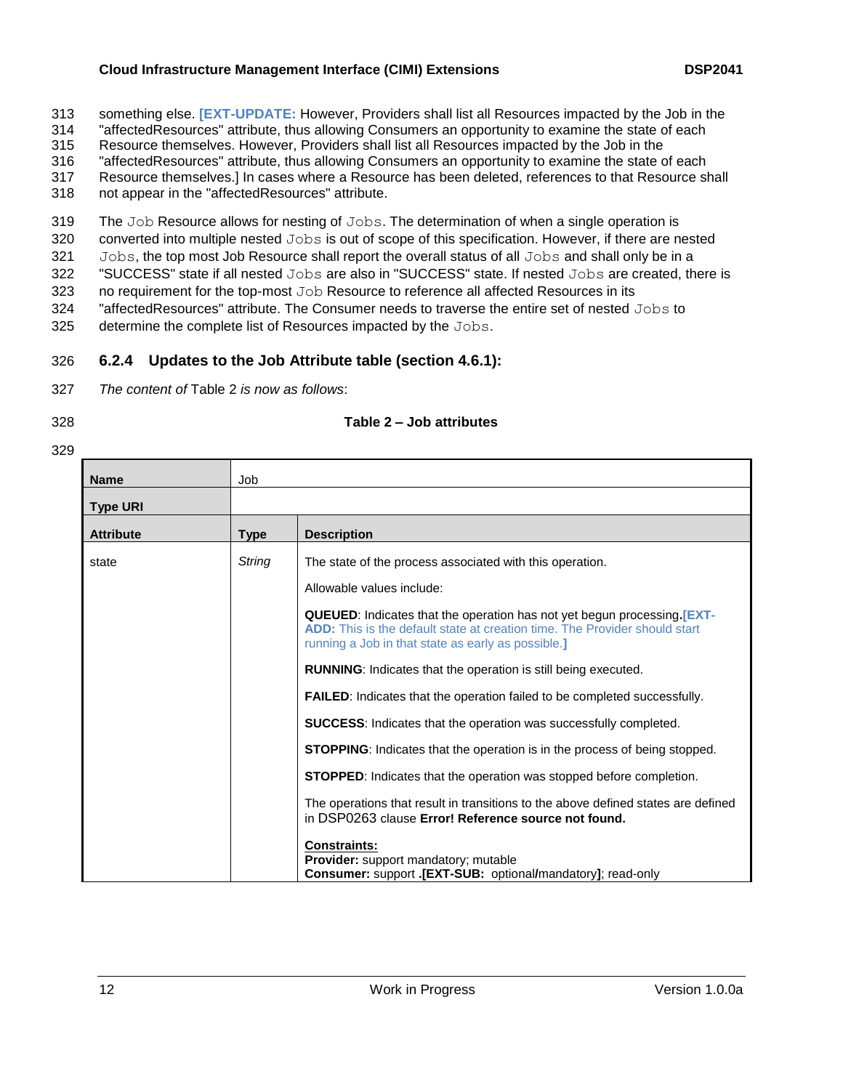#### **Cloud Infrastructure Management Interface (CIMI) Extensions DSP2041**

- 313 something else. **[EXT-UPDATE:** However, Providers shall list all Resources impacted by the Job in the
- "affectedResources" attribute, thus allowing Consumers an opportunity to examine the state of each
- 315 Resource themselves. However, Providers shall list all Resources impacted by the Job in the
- 316 "affectedResources" attribute, thus allowing Consumers an opportunity to examine the state of each
- 317 Resource themselves.] In cases where a Resource has been deleted, references to that Resource shall 318 not appear in the "affectedResources" attribute.
- 319 The Job Resource allows for nesting of Jobs. The determination of when a single operation is
- 320 converted into multiple nested Jobs is out of scope of this specification. However, if there are nested
- 321 Jobs, the top most Job Resource shall report the overall status of all Jobs and shall only be in a
- 322 "SUCCESS" state if all nested Jobs are also in "SUCCESS" state. If nested Jobs are created, there is
- 323 no requirement for the top-most Job Resource to reference all affected Resources in its
- 324 "affectedResources" attribute. The Consumer needs to traverse the entire set of nested Jobs to
- <span id="page-11-0"></span>325 determine the complete list of Resources impacted by the Jobs.

#### 326 **6.2.4 Updates to the Job Attribute table (section 4.6.1):**

- 327 *The content of* [Table 2](#page-11-1) *is now as follows*:
- <span id="page-11-1"></span>
- 329

#### 328 **Table 2 – Job attributes**

| <b>Name</b>      | Job           |                                                                                                                                                                                                                          |
|------------------|---------------|--------------------------------------------------------------------------------------------------------------------------------------------------------------------------------------------------------------------------|
| <b>Type URI</b>  |               |                                                                                                                                                                                                                          |
| <b>Attribute</b> | <b>Type</b>   | <b>Description</b>                                                                                                                                                                                                       |
| state            | <b>String</b> | The state of the process associated with this operation.                                                                                                                                                                 |
|                  |               | Allowable values include:                                                                                                                                                                                                |
|                  |               | <b>QUEUED:</b> Indicates that the operation has not yet begun processing.[EXT-<br><b>ADD:</b> This is the default state at creation time. The Provider should start<br>running a Job in that state as early as possible. |
|                  |               | RUNNING: Indicates that the operation is still being executed.                                                                                                                                                           |
|                  |               | <b>FAILED:</b> Indicates that the operation failed to be completed successfully.                                                                                                                                         |
|                  |               | <b>SUCCESS:</b> Indicates that the operation was successfully completed.                                                                                                                                                 |
|                  |               | <b>STOPPING:</b> Indicates that the operation is in the process of being stopped.                                                                                                                                        |
|                  |               | <b>STOPPED:</b> Indicates that the operation was stopped before completion.                                                                                                                                              |
|                  |               | The operations that result in transitions to the above defined states are defined<br>in DSP0263 clause Error! Reference source not found.                                                                                |
|                  |               | <b>Constraints:</b><br><b>Provider:</b> support mandatory; mutable<br>Consumer: support .[EXT-SUB: optional/mandatory]; read-only                                                                                        |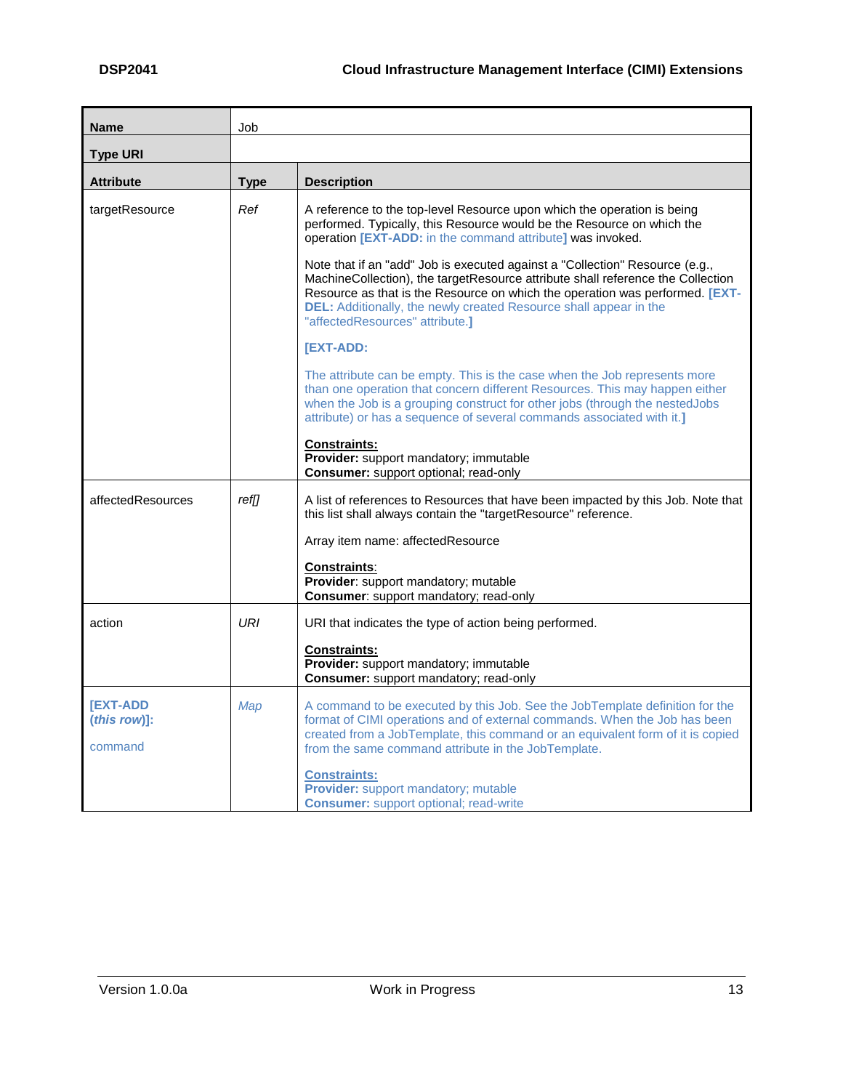| <b>Name</b>                                | Job         |                                                                                                                                                                                                                                                                                                                                                                                                                                                                                                                                                                                                                                                                                                                                                                                                                                                                                                                                                                                      |
|--------------------------------------------|-------------|--------------------------------------------------------------------------------------------------------------------------------------------------------------------------------------------------------------------------------------------------------------------------------------------------------------------------------------------------------------------------------------------------------------------------------------------------------------------------------------------------------------------------------------------------------------------------------------------------------------------------------------------------------------------------------------------------------------------------------------------------------------------------------------------------------------------------------------------------------------------------------------------------------------------------------------------------------------------------------------|
| <b>Type URI</b>                            |             |                                                                                                                                                                                                                                                                                                                                                                                                                                                                                                                                                                                                                                                                                                                                                                                                                                                                                                                                                                                      |
| <b>Attribute</b>                           | <b>Type</b> | <b>Description</b>                                                                                                                                                                                                                                                                                                                                                                                                                                                                                                                                                                                                                                                                                                                                                                                                                                                                                                                                                                   |
| targetResource                             | Ref         | A reference to the top-level Resource upon which the operation is being<br>performed. Typically, this Resource would be the Resource on which the<br>operation [EXT-ADD: in the command attribute] was invoked.<br>Note that if an "add" Job is executed against a "Collection" Resource (e.g.,<br>MachineCollection), the targetResource attribute shall reference the Collection<br>Resource as that is the Resource on which the operation was performed. [EXT-<br><b>DEL:</b> Additionally, the newly created Resource shall appear in the<br>"affectedResources" attribute.]<br>[EXT-ADD:<br>The attribute can be empty. This is the case when the Job represents more<br>than one operation that concern different Resources. This may happen either<br>when the Job is a grouping construct for other jobs (through the nested Jobs<br>attribute) or has a sequence of several commands associated with it.]<br><b>Constraints:</b><br>Provider: support mandatory; immutable |
| affectedResources                          | ref[]       | Consumer: support optional; read-only<br>A list of references to Resources that have been impacted by this Job. Note that<br>this list shall always contain the "targetResource" reference.<br>Array item name: affected Resource<br><b>Constraints:</b><br>Provider: support mandatory; mutable<br>Consumer: support mandatory; read-only                                                                                                                                                                                                                                                                                                                                                                                                                                                                                                                                                                                                                                           |
| action                                     | <b>URI</b>  | URI that indicates the type of action being performed.<br><b>Constraints:</b><br>Provider: support mandatory; immutable<br>Consumer: support mandatory; read-only                                                                                                                                                                                                                                                                                                                                                                                                                                                                                                                                                                                                                                                                                                                                                                                                                    |
| <b>[EXT-ADD</b><br>(this row)]:<br>command | Map         | A command to be executed by this Job. See the JobTemplate definition for the<br>format of CIMI operations and of external commands. When the Job has been<br>created from a JobTemplate, this command or an equivalent form of it is copied<br>from the same command attribute in the JobTemplate.<br><b>Constraints:</b><br><b>Provider:</b> support mandatory; mutable<br><b>Consumer:</b> support optional; read-write                                                                                                                                                                                                                                                                                                                                                                                                                                                                                                                                                            |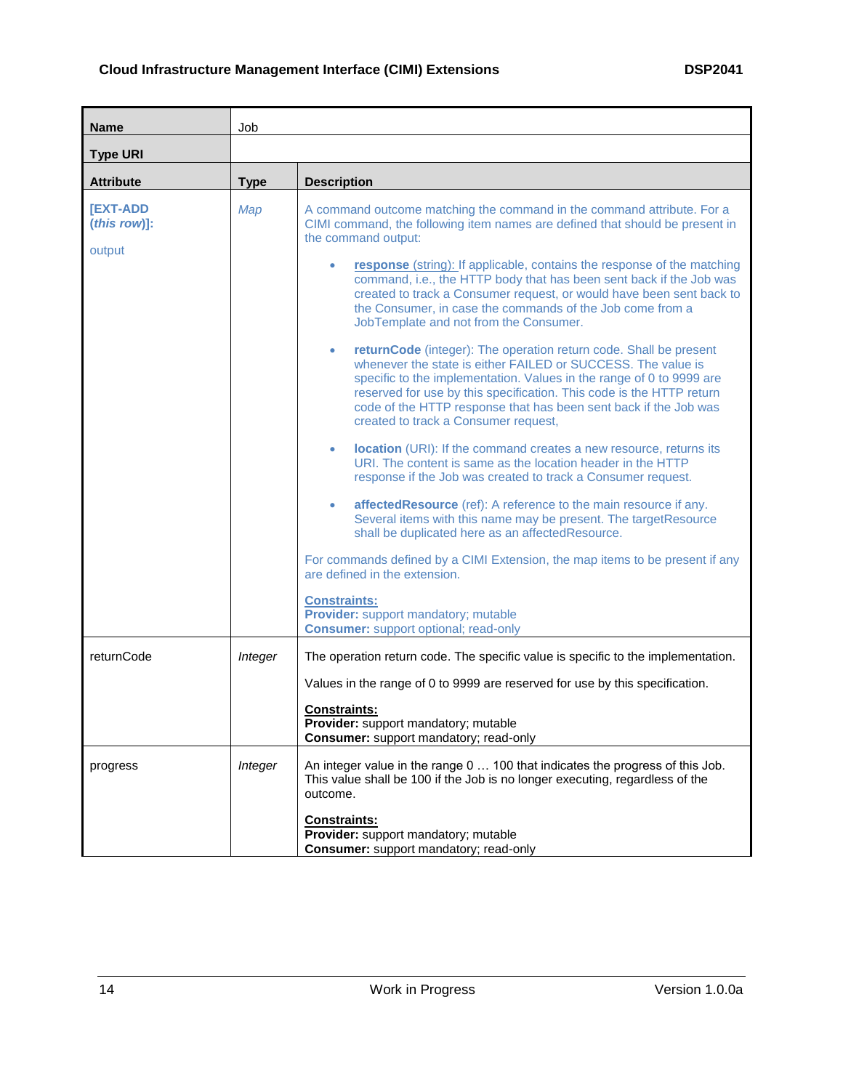| <b>Name</b>                               | Job         |                                                                                                                                                                                                                                                                                                                                                                                                                                                                                                                                                                                                                                                                                                                                                                                                                                                                                                                                                                                                                                                                                                                                                                                                                                                                                                                                                                                                                                                                                                                                                                                                            |
|-------------------------------------------|-------------|------------------------------------------------------------------------------------------------------------------------------------------------------------------------------------------------------------------------------------------------------------------------------------------------------------------------------------------------------------------------------------------------------------------------------------------------------------------------------------------------------------------------------------------------------------------------------------------------------------------------------------------------------------------------------------------------------------------------------------------------------------------------------------------------------------------------------------------------------------------------------------------------------------------------------------------------------------------------------------------------------------------------------------------------------------------------------------------------------------------------------------------------------------------------------------------------------------------------------------------------------------------------------------------------------------------------------------------------------------------------------------------------------------------------------------------------------------------------------------------------------------------------------------------------------------------------------------------------------------|
| <b>Type URI</b>                           |             |                                                                                                                                                                                                                                                                                                                                                                                                                                                                                                                                                                                                                                                                                                                                                                                                                                                                                                                                                                                                                                                                                                                                                                                                                                                                                                                                                                                                                                                                                                                                                                                                            |
| <b>Attribute</b>                          | <b>Type</b> | <b>Description</b>                                                                                                                                                                                                                                                                                                                                                                                                                                                                                                                                                                                                                                                                                                                                                                                                                                                                                                                                                                                                                                                                                                                                                                                                                                                                                                                                                                                                                                                                                                                                                                                         |
| <b>[EXT-ADD</b><br>(this row)]:<br>output | Map         | A command outcome matching the command in the command attribute. For a<br>CIMI command, the following item names are defined that should be present in<br>the command output:<br>response (string): If applicable, contains the response of the matching<br>$\bullet$<br>command, i.e., the HTTP body that has been sent back if the Job was<br>created to track a Consumer request, or would have been sent back to<br>the Consumer, in case the commands of the Job come from a<br>JobTemplate and not from the Consumer.<br>returnCode (integer): The operation return code. Shall be present<br>$\bullet$<br>whenever the state is either FAILED or SUCCESS. The value is<br>specific to the implementation. Values in the range of 0 to 9999 are<br>reserved for use by this specification. This code is the HTTP return<br>code of the HTTP response that has been sent back if the Job was<br>created to track a Consumer request,<br><b>location</b> (URI): If the command creates a new resource, returns its<br>$\bullet$<br>URI. The content is same as the location header in the HTTP<br>response if the Job was created to track a Consumer request.<br>affectedResource (ref): A reference to the main resource if any.<br>$\bullet$<br>Several items with this name may be present. The targetResource<br>shall be duplicated here as an affectedResource.<br>For commands defined by a CIMI Extension, the map items to be present if any<br>are defined in the extension.<br><b>Constraints:</b><br>Provider: support mandatory; mutable<br><b>Consumer:</b> support optional; read-only |
| returnCode                                | Integer     | The operation return code. The specific value is specific to the implementation.<br>Values in the range of 0 to 9999 are reserved for use by this specification.<br><b>Constraints:</b><br>Provider: support mandatory; mutable<br><b>Consumer:</b> support mandatory; read-only                                                                                                                                                                                                                                                                                                                                                                                                                                                                                                                                                                                                                                                                                                                                                                                                                                                                                                                                                                                                                                                                                                                                                                                                                                                                                                                           |
| progress                                  | Integer     | An integer value in the range 0  100 that indicates the progress of this Job.<br>This value shall be 100 if the Job is no longer executing, regardless of the<br>outcome.<br><b>Constraints:</b><br>Provider: support mandatory; mutable<br>Consumer: support mandatory; read-only                                                                                                                                                                                                                                                                                                                                                                                                                                                                                                                                                                                                                                                                                                                                                                                                                                                                                                                                                                                                                                                                                                                                                                                                                                                                                                                         |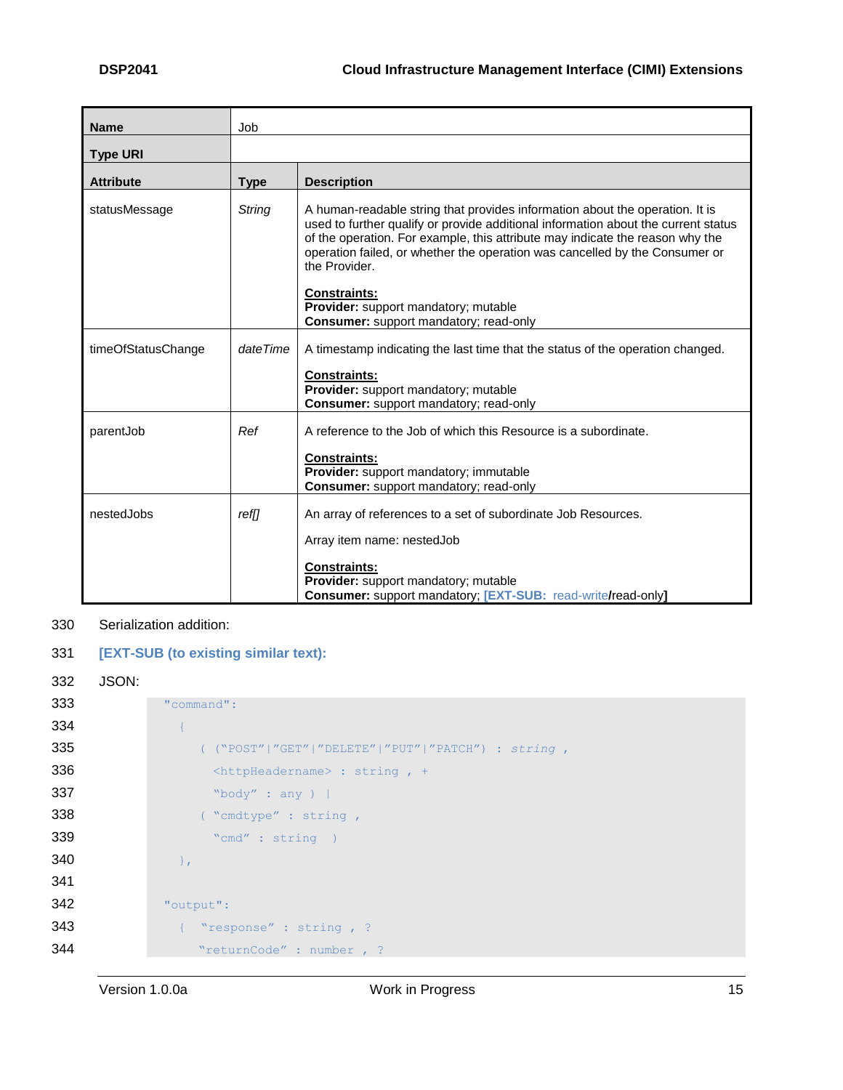| <b>Name</b>        | Job           |                                                                                                                                                                                                                                                                                                                                                                            |
|--------------------|---------------|----------------------------------------------------------------------------------------------------------------------------------------------------------------------------------------------------------------------------------------------------------------------------------------------------------------------------------------------------------------------------|
| <b>Type URI</b>    |               |                                                                                                                                                                                                                                                                                                                                                                            |
| <b>Attribute</b>   | <b>Type</b>   | <b>Description</b>                                                                                                                                                                                                                                                                                                                                                         |
| statusMessage      | <b>String</b> | A human-readable string that provides information about the operation. It is<br>used to further qualify or provide additional information about the current status<br>of the operation. For example, this attribute may indicate the reason why the<br>operation failed, or whether the operation was cancelled by the Consumer or<br>the Provider.<br><b>Constraints:</b> |
|                    |               | Provider: support mandatory; mutable<br><b>Consumer:</b> support mandatory; read-only                                                                                                                                                                                                                                                                                      |
| timeOfStatusChange | dateTime      | A timestamp indicating the last time that the status of the operation changed.                                                                                                                                                                                                                                                                                             |
|                    |               | <b>Constraints:</b><br>Provider: support mandatory; mutable<br>Consumer: support mandatory; read-only                                                                                                                                                                                                                                                                      |
| parentJob          | Ref           | A reference to the Job of which this Resource is a subordinate.                                                                                                                                                                                                                                                                                                            |
|                    |               | <b>Constraints:</b><br>Provider: support mandatory; immutable<br><b>Consumer:</b> support mandatory; read-only                                                                                                                                                                                                                                                             |
| nestedJobs         | ref[]         | An array of references to a set of subordinate Job Resources.                                                                                                                                                                                                                                                                                                              |
|                    |               | Array item name: nestedJob                                                                                                                                                                                                                                                                                                                                                 |
|                    |               | <b>Constraints:</b><br>Provider: support mandatory; mutable<br>Consumer: support mandatory; [EXT-SUB: read-write/read-only]                                                                                                                                                                                                                                                |

#### 330 Serialization addition:

### 331 **[EXT-SUB (to existing similar text):**

| 332 | JSON: |                                                           |
|-----|-------|-----------------------------------------------------------|
| 333 |       | "command":                                                |
| 334 |       |                                                           |
| 335 |       | ( ("POST"   "GET"   "DELETE"   "PUT"   "PATCH") : string, |
| 336 |       | $\hbox{-}$ httpHeadername> : string, +                    |
| 337 |       | "body" : any $ $                                          |
| 338 |       | ( "cmdtype" : string,                                     |
| 339 |       | "cmd" : string )                                          |
| 340 |       | $\rightarrow$                                             |
| 341 |       |                                                           |
| 342 |       | "output":                                                 |
| 343 |       | { "response" : string, ?                                  |
| 344 |       | "returnCode": number, ?                                   |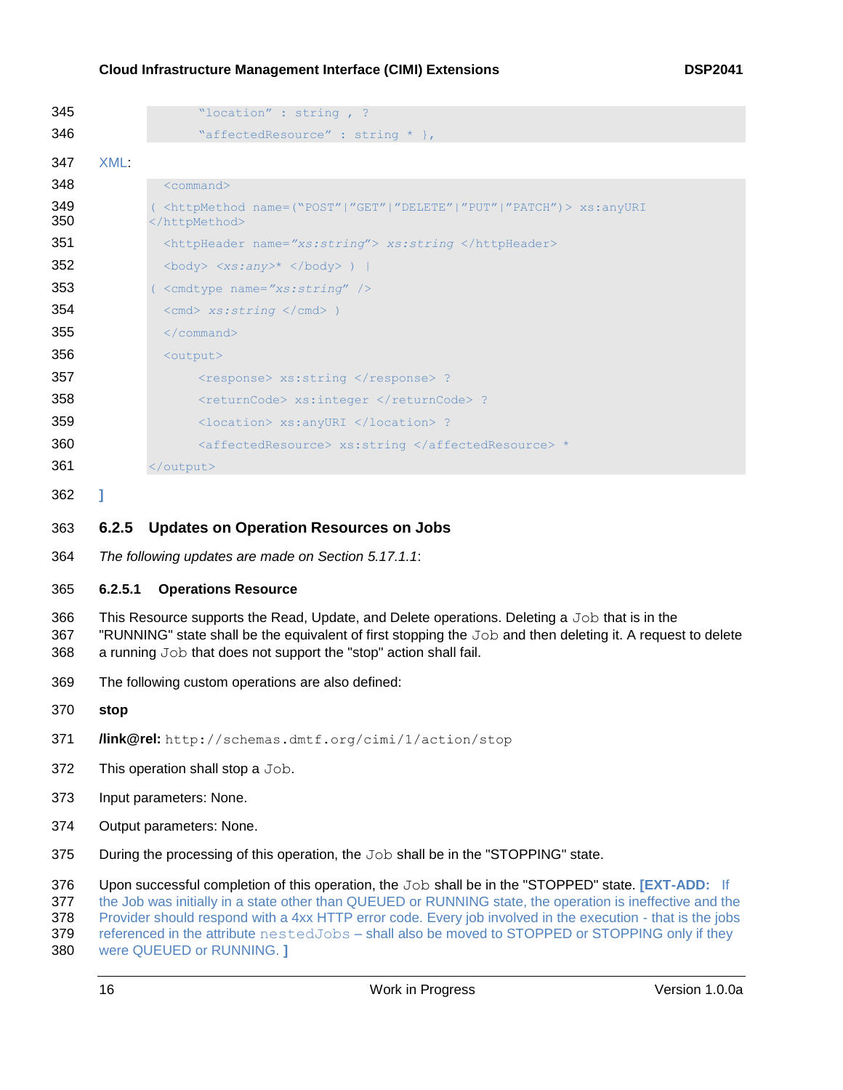<span id="page-15-0"></span>

| 345                             |                                                                                                                                                                                                                                                                                                                                                                                                                                                                 | "location" : string, ?                                                                  |  |
|---------------------------------|-----------------------------------------------------------------------------------------------------------------------------------------------------------------------------------------------------------------------------------------------------------------------------------------------------------------------------------------------------------------------------------------------------------------------------------------------------------------|-----------------------------------------------------------------------------------------|--|
| 346                             |                                                                                                                                                                                                                                                                                                                                                                                                                                                                 | "affectedResource" : string * },                                                        |  |
| 347                             | XML:                                                                                                                                                                                                                                                                                                                                                                                                                                                            |                                                                                         |  |
| 348                             |                                                                                                                                                                                                                                                                                                                                                                                                                                                                 | <command/>                                                                              |  |
| 349<br>350                      |                                                                                                                                                                                                                                                                                                                                                                                                                                                                 | ( <httpmethod name='("POST" "GET" "DELETE" "PUT" "PATCH")'> xs:anyURI<br/></httpmethod> |  |
| 351                             |                                                                                                                                                                                                                                                                                                                                                                                                                                                                 | <httpheader name="xs:string"> xs:string </httpheader>                                   |  |
| 352                             |                                                                                                                                                                                                                                                                                                                                                                                                                                                                 | $\langle body \rangle \langle xs:any \rangle^* \langle body \rangle$                    |  |
| 353                             |                                                                                                                                                                                                                                                                                                                                                                                                                                                                 | ( <cmdtype name="xs:string"></cmdtype>                                                  |  |
| 354                             |                                                                                                                                                                                                                                                                                                                                                                                                                                                                 | $\langle \text{cmd} \rangle$ xs: string $\langle \text{cmd} \rangle$ )                  |  |
| 355                             |                                                                                                                                                                                                                                                                                                                                                                                                                                                                 | $\langle$ /command>                                                                     |  |
| 356                             |                                                                                                                                                                                                                                                                                                                                                                                                                                                                 | <output></output>                                                                       |  |
| 357                             |                                                                                                                                                                                                                                                                                                                                                                                                                                                                 | <response> xs:string </response> ?                                                      |  |
| 358                             |                                                                                                                                                                                                                                                                                                                                                                                                                                                                 | <returncode> xs:integer </returncode> ?                                                 |  |
| 359                             |                                                                                                                                                                                                                                                                                                                                                                                                                                                                 | <location> xs:anyURI </location> ?                                                      |  |
| 360                             |                                                                                                                                                                                                                                                                                                                                                                                                                                                                 | <affectedresource> xs:string </affectedresource> *                                      |  |
| 361                             |                                                                                                                                                                                                                                                                                                                                                                                                                                                                 |                                                                                         |  |
| 362                             | 1                                                                                                                                                                                                                                                                                                                                                                                                                                                               |                                                                                         |  |
| 363                             | 6.2.5                                                                                                                                                                                                                                                                                                                                                                                                                                                           | <b>Updates on Operation Resources on Jobs</b>                                           |  |
| 364                             |                                                                                                                                                                                                                                                                                                                                                                                                                                                                 | The following updates are made on Section 5.17.1.1:                                     |  |
| 365                             | 6.2.5.1                                                                                                                                                                                                                                                                                                                                                                                                                                                         | <b>Operations Resource</b>                                                              |  |
| 366<br>367<br>368               | This Resource supports the Read, Update, and Delete operations. Deleting a Job that is in the<br>"RUNNING" state shall be the equivalent of first stopping the Job and then deleting it. A request to delete<br>a running Job that does not support the "stop" action shall fail.                                                                                                                                                                               |                                                                                         |  |
| 369                             | The following custom operations are also defined:                                                                                                                                                                                                                                                                                                                                                                                                               |                                                                                         |  |
| 370                             | stop                                                                                                                                                                                                                                                                                                                                                                                                                                                            |                                                                                         |  |
| 371                             |                                                                                                                                                                                                                                                                                                                                                                                                                                                                 | <b>/link@rel:</b> http://schemas.dmtf.org/cimi/1/action/stop                            |  |
| 372                             |                                                                                                                                                                                                                                                                                                                                                                                                                                                                 | This operation shall stop a Job.                                                        |  |
| 373                             |                                                                                                                                                                                                                                                                                                                                                                                                                                                                 | Input parameters: None.                                                                 |  |
| 374                             |                                                                                                                                                                                                                                                                                                                                                                                                                                                                 | Output parameters: None.                                                                |  |
| 375                             |                                                                                                                                                                                                                                                                                                                                                                                                                                                                 | During the processing of this operation, the Job shall be in the "STOPPING" state.      |  |
| 376<br>377<br>378<br>379<br>380 | Upon successful completion of this operation, the Job shall be in the "STOPPED" state. [EXT-ADD: If<br>the Job was initially in a state other than QUEUED or RUNNING state, the operation is ineffective and the<br>Provider should respond with a 4xx HTTP error code. Every job involved in the execution - that is the jobs<br>referenced in the attribute nestedJobs - shall also be moved to STOPPED or STOPPING only if they<br>were QUEUED or RUNNING. ] |                                                                                         |  |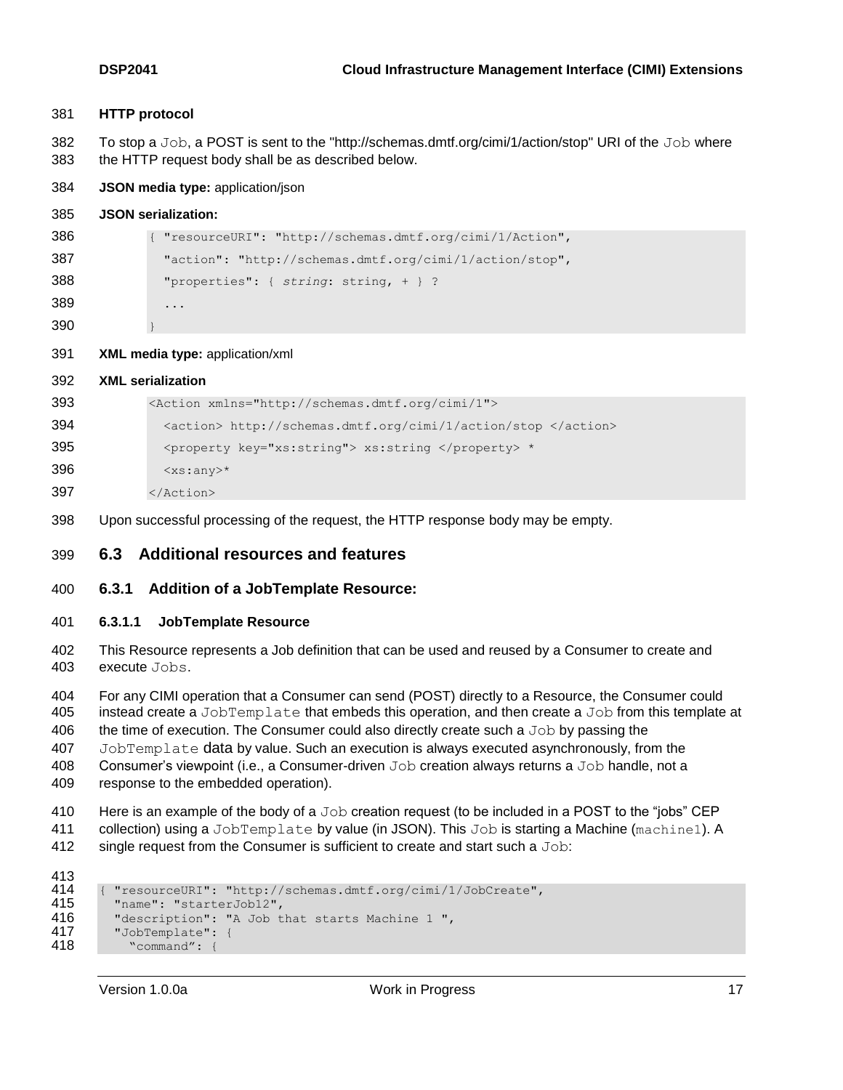#### **HTTP protocol**

382 To stop a Job, a POST is sent to the "http://schemas.dmtf.org/cimi/1/action/stop" URI of the Job where the HTTP request body shall be as described below.

#### **JSON media type:** application/json

#### **JSON serialization:**

| 386 | { "resourceURI": "http://schemas.dmtf.org/cimi/1/Action", |
|-----|-----------------------------------------------------------|
| 387 | "action": "http://schemas.dmtf.org/cimi/1/action/stop",   |
| 388 | "properties": { $string:$ string, + } ?                   |
| 389 | $\ddotsc$                                                 |
| 390 |                                                           |

**XML media type:** application/xml

#### **XML serialization**

| 393 | <action xmlns="http://schemas.dmtf.org/cimi/1"></action>      |  |  |
|-----|---------------------------------------------------------------|--|--|
| 394 | <action> http://schemas.dmtf.org/cimi/1/action/stop </action> |  |  |
| 395 | <property key="xs:string"> xs:string </property> *            |  |  |
| 396 | $^*$                                                          |  |  |
| 397 | $\langle$ Action $\rangle$                                    |  |  |
|     |                                                               |  |  |

<span id="page-16-0"></span>Upon successful processing of the request, the HTTP response body may be empty.

#### <span id="page-16-1"></span>**6.3 Additional resources and features**

#### **6.3.1 Addition of a JobTemplate Resource:**

#### **6.3.1.1 JobTemplate Resource**

 This Resource represents a Job definition that can be used and reused by a Consumer to create and execute Jobs.

 For any CIMI operation that a Consumer can send (POST) directly to a Resource, the Consumer could 405 instead create a JobTemplate that embeds this operation, and then create a Job from this template at 406 the time of execution. The Consumer could also directly create such a  $J \circ b$  by passing the JobTemplate data by value. Such an execution is always executed asynchronously, from the Consumer's viewpoint (i.e., a Consumer-driven Job creation always returns a Job handle, not a

- response to the embedded operation).
- 410 Here is an example of the body of a Job creation request (to be included in a POST to the "jobs" CEP
- 411 collection) using a JobTemplate by value (in JSON). This Job is starting a Machine (machine1). A 412 single request from the Consumer is sufficient to create and start such a  $J \circ b$ :

```
413
```

```
414 { "resourceURI": "http://schemas.dmtf.org/cimi/1/JobCreate",
415 "name": "starterJob12",
416 "description": "A Job that starts Machine 1 ", 
417 "JobTemplate": { 
418 "command": {
```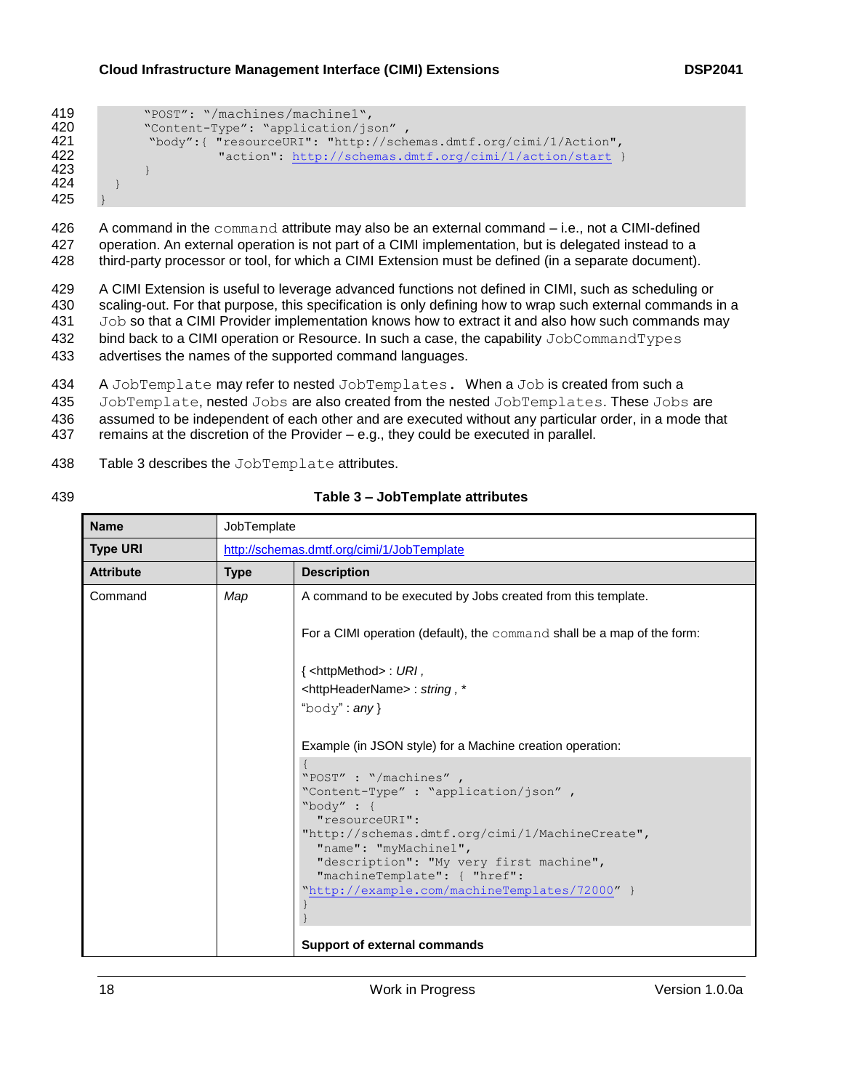#### **Cloud Infrastructure Management Interface (CIMI) Extensions DSP2041**

| 420 |  |
|-----|--|
| 421 |  |
| 422 |  |
| 423 |  |

424 } 425 }

419 "POST": "/machines/machine1", "Content-Type": "application/json", 421 "body":{ "resourceURI": "http://schemas.dmtf.org/cimi/1/Action", "action":<http://schemas.dmtf.org/cimi/1/action/start> } 423 }

426 A command in the command attribute may also be an external command – i.e., not a CIMI-defined 427 operation. An external operation is not part of a CIMI implementation, but is delegated instead to a 428 third-party processor or tool, for which a CIMI Extension must be defined (in a separate document).

 A CIMI Extension is useful to leverage advanced functions not defined in CIMI, such as scheduling or scaling-out. For that purpose, this specification is only defining how to wrap such external commands in a Job so that a CIMI Provider implementation knows how to extract it and also how such commands may 432 bind back to a CIMI operation or Resource. In such a case, the capability JobCommandTypes advertises the names of the supported command languages.

434 A JobTemplate may refer to nested JobTemplates. When a Job is created from such a 435 JobTemplate, nested Jobs are also created from the nested JobTemplates. These Jobs are 436 assumed to be independent of each other and are executed without any particular order, in a mode that 437 remains at the discretion of the Provider – e.g., they could be executed in parallel.

438 [Table 3](#page-17-0) describes the JobTemplate attributes.

<span id="page-17-0"></span>

439 **Table 3 – JobTemplate attributes**

| <b>Name</b>      | JobTemplate                                |                                                                                                                                                                                                                                                                                                                                                                                                                              |  |
|------------------|--------------------------------------------|------------------------------------------------------------------------------------------------------------------------------------------------------------------------------------------------------------------------------------------------------------------------------------------------------------------------------------------------------------------------------------------------------------------------------|--|
| <b>Type URI</b>  | http://schemas.dmtf.org/cimi/1/JobTemplate |                                                                                                                                                                                                                                                                                                                                                                                                                              |  |
| <b>Attribute</b> | <b>Type</b>                                | <b>Description</b>                                                                                                                                                                                                                                                                                                                                                                                                           |  |
| Command          | Map                                        | A command to be executed by Jobs created from this template.<br>For a CIMI operation (default), the command shall be a map of the form:<br>{ <httpmethod> : URI,<br/><httpheadername>: string, *<br/>"body": <math>any</math>}<br/>Example (in JSON style) for a Machine creation operation:<br/>"POST": "/machines",<br/>"Content-Type": "application/json",<br/>"body": {<br/>"resourceURI":</httpheadername></httpmethod> |  |
|                  |                                            | "http://schemas.dmtf.org/cimi/1/MachineCreate",<br>"name": "myMachine1",<br>"description": "My very first machine",<br>"machineTemplate": { "href":<br>"http://example.com/machineTemplates/72000" }<br>Support of external commands                                                                                                                                                                                         |  |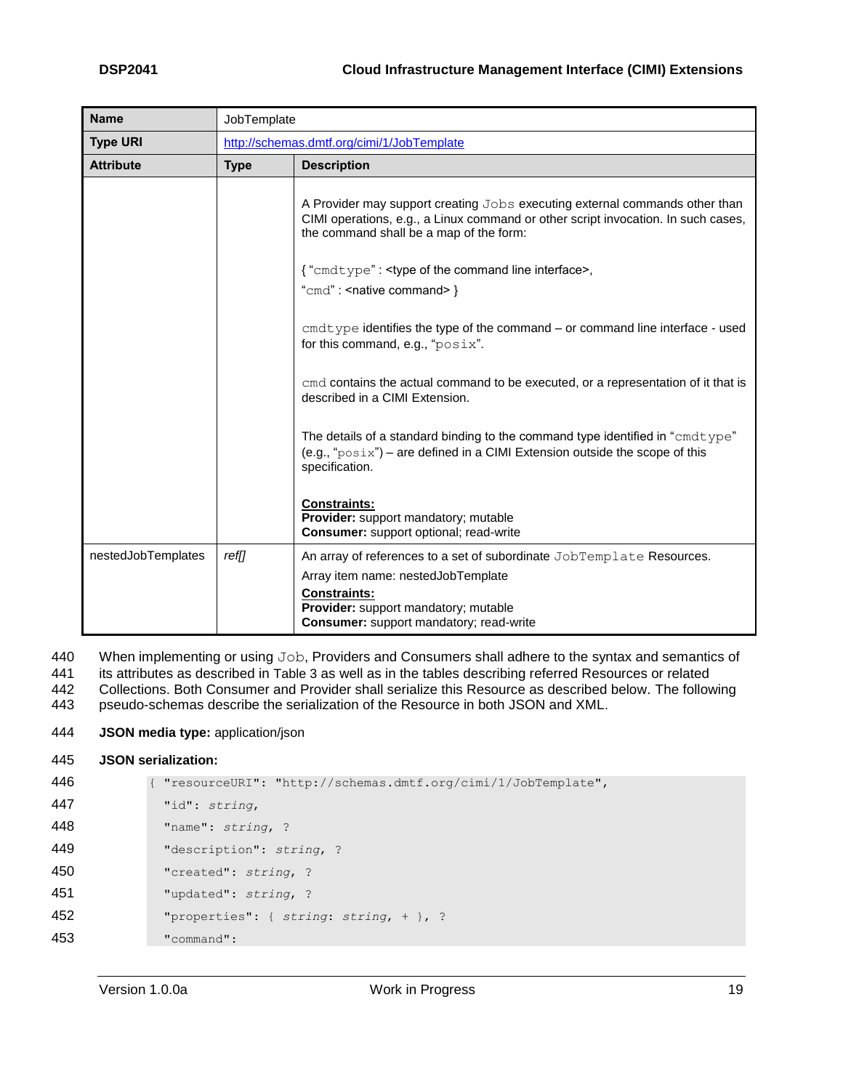| <b>Name</b>        | JobTemplate                                |                                                                                                                                                                                                                              |  |
|--------------------|--------------------------------------------|------------------------------------------------------------------------------------------------------------------------------------------------------------------------------------------------------------------------------|--|
| <b>Type URI</b>    | http://schemas.dmtf.org/cimi/1/JobTemplate |                                                                                                                                                                                                                              |  |
| <b>Attribute</b>   | <b>Type</b>                                | <b>Description</b>                                                                                                                                                                                                           |  |
|                    |                                            | A Provider may support creating Jobs executing external commands other than<br>CIMI operations, e.g., a Linux command or other script invocation. In such cases,<br>the command shall be a map of the form:                  |  |
|                    |                                            | { "cmdtype" : <type command="" interface="" line="" of="" the="">,<br/>"cmd": <native command=""> }</native></type>                                                                                                          |  |
|                    |                                            | cmdtype identifies the type of the command - or command line interface - used<br>for this command, e.g., "posix".                                                                                                            |  |
|                    |                                            | cmd contains the actual command to be executed, or a representation of it that is<br>described in a CIMI Extension.                                                                                                          |  |
|                    |                                            | The details of a standard binding to the command type identified in "cmdtype"<br>(e.g., " $posix"$ ) – are defined in a CIMI Extension outside the scope of this<br>specification.                                           |  |
|                    |                                            | <b>Constraints:</b><br><b>Provider:</b> support mandatory; mutable<br><b>Consumer:</b> support optional; read-write                                                                                                          |  |
| nestedJobTemplates | ref[]                                      | An array of references to a set of subordinate JobTemplate Resources.<br>Array item name: nestedJobTemplate<br><b>Constraints:</b><br>Provider: support mandatory; mutable<br><b>Consumer:</b> support mandatory; read-write |  |

440 When implementing or using Job, Providers and Consumers shall adhere to the syntax and semantics of

441 its attributes as described in [Table](#page-17-0) 3 as well as in the tables describing referred Resources or related<br>442 Collections. Both Consumer and Provider shall serialize this Resource as described below. The follov

Collections. Both Consumer and Provider shall serialize this Resource as described below. The following

443 pseudo-schemas describe the serialization of the Resource in both JSON and XML.

#### 444 **JSON media type:** application/json

#### 445 **JSON serialization:**

 { "resourceURI": "http://schemas.dmtf.org/cimi/1/JobTemplate", "id": *string*, "name": *string*, ? "description": *string*, ? "created": *string*, ? "updated": *string*, ? "properties": { *string*: *string*, + }, ? "command":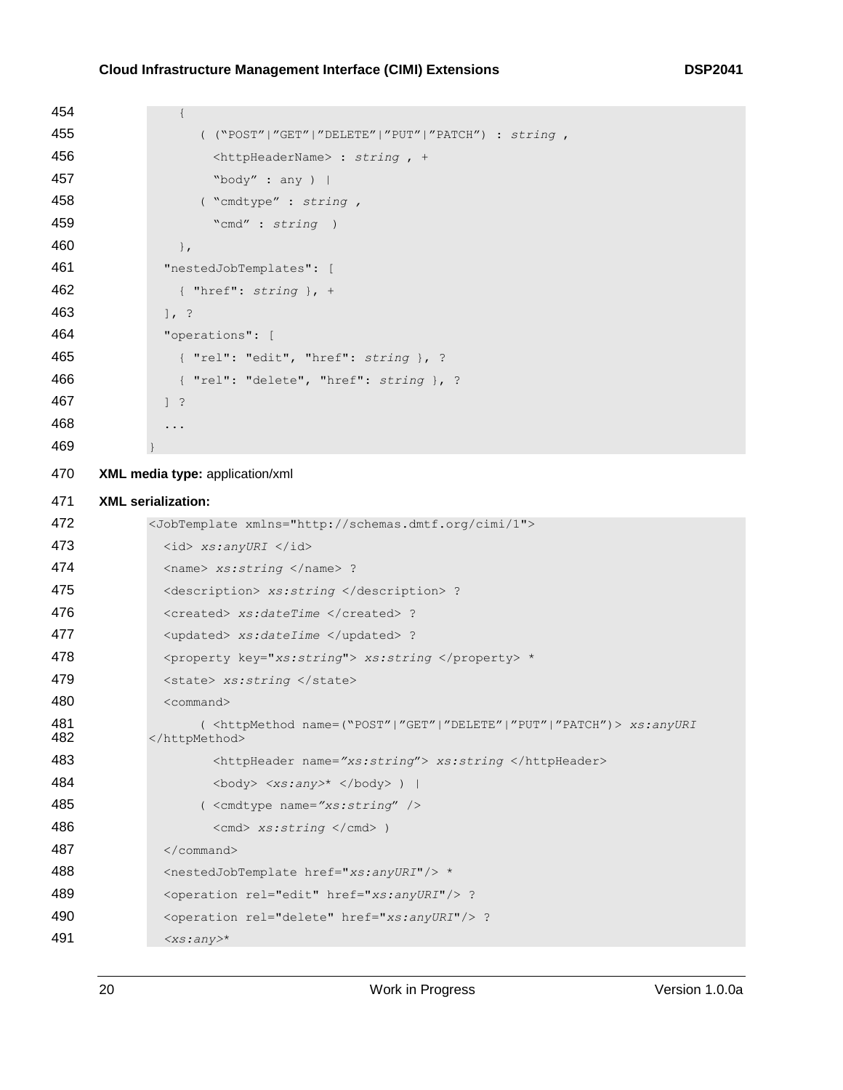#### **Cloud Infrastructure Management Interface (CIMI) Extensions DSP2041**

```
454 {
455 ( ("POST"|"GET"|"DELETE"|"PUT"|"PATCH") : string , 
456 <httpHeaderName> : string , +
457 "body" : any ) |
458 ( "cmdtype" : string ,
459 "cmd" : string ) 
460 },
461 "nestedJobTemplates": [
462 { "href": string }, +
463 1, ?
464 "operations": [
465 { "rel": "edit", "href": string }, ?
466 { "rel": "delete", "href": string }, ?
467 1 ?
468 ...
469 }
470 XML media type: application/xml 
471 XML serialization:
472 <JobTemplate xmlns="http://schemas.dmtf.org/cimi/1">
473 <id> xs:anyURI </id>
474 <name> xs:string </name> ?
475 <description> xs:string </description> ?
476 <created> xs:dateTime </created> ?
477 <updated> xs:dateIime </updated> ?
478 <property key="xs:string"> xs:string </property> *
479 <state> xs:string </state>
480 <command>
481 ( <httpMethod name=("POST"|"GET"|"DELETE"|"PUT"|"PATCH")> xs:anyURI<br>482 ( /httpMethod>
          </httpMethod>
483 <httpHeader name="xs:string"> xs:string </httpHeader>
484 <body> <xs:any>* </body> ) |
485 ( <cmdtype name="xs:string" />
486 <cmd> xs:string </cmd>)
487 </command> 
488 <nestedJobTemplate href="xs:anyURI"/> *
489 <operation rel="edit" href="xs:anyURI"/> ?
490 <operation rel="delete" href="xs:anyURI"/> ?
491 <xs:any>*
```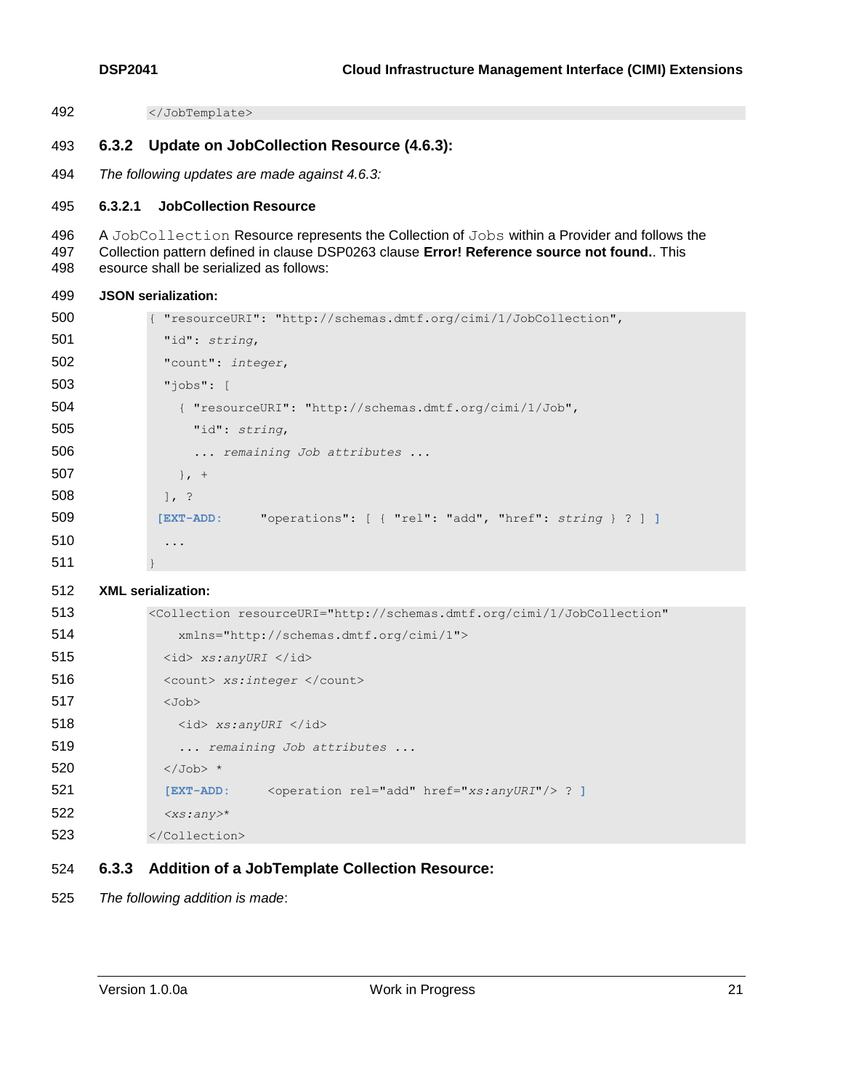<span id="page-20-0"></span></JobTemplate>

#### **6.3.2 Update on JobCollection Resource (4.6.3):**

*The following updates are made against 4.6.3:*

#### **6.3.2.1 JobCollection Resource**

 A JobCollection Resource represents the Collection of Jobs within a Provider and follows the Collection pattern defined in clause DSP0263 clause **Error! Reference source not found.**. This esource shall be serialized as follows:

#### **JSON serialization:**

```
500 { "resourceURI": "http://schemas.dmtf.org/cimi/1/JobCollection",
501 "id": string,
502 "count": integer,
503 "jobs": [
504 { "resourceURI": "http://schemas.dmtf.org/cimi/1/Job",
505 "id": string,
506 ... remaining Job attributes ...
507 }, +
508 ], ?
509 [EXT-ADD: "operations": [ { "rel": "add", "href": string } ? ] ]
510 ...
511 }
```
#### **XML serialization:**

| 513 | <collection <="" resourceuri="http://schemas.dmtf.org/cimi/1/JobCollection" th=""></collection> |  |  |
|-----|-------------------------------------------------------------------------------------------------|--|--|
| 514 | xmlns="http://schemas.dmtf.org/cimi/1">                                                         |  |  |
| 515 | $\langle id \rangle$ xs: anyURI $\langle id \rangle$                                            |  |  |
| 516 | <count> xs:integer </count>                                                                     |  |  |
| 517 | $<$ Job>                                                                                        |  |  |
| 518 | $\langle id \rangle$ xs: anyURI $\langle id \rangle$                                            |  |  |
| 519 | remaining Job attributes                                                                        |  |  |
| 520 | $\langle$ /Job> *                                                                               |  |  |
| 521 | [EXT-ADD:<br>$\Diamond$ operation rel="add" href="xs:anyURI"/> ? ]                              |  |  |
| 522 | $^*$                                                                                            |  |  |
| 523 |                                                                                                 |  |  |

- <span id="page-20-1"></span>**6.3.3 Addition of a JobTemplate Collection Resource:**
- *The following addition is made*: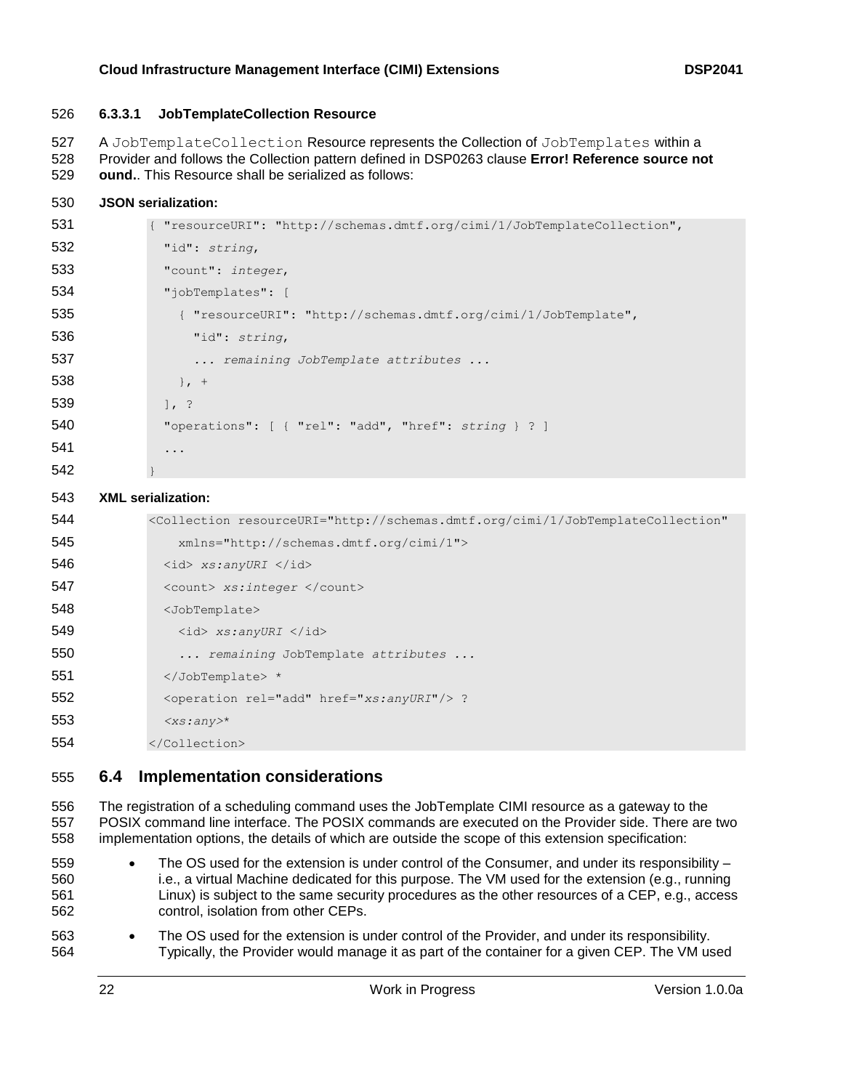#### **6.3.3.1 JobTemplateCollection Resource**

527 A JobTemplateCollection Resource represents the Collection of JobTemplates within a Provider and follows the Collection pattern defined in DSP0263 clause **Error! Reference source not ound.**. This Resource shall be serialized as follows:

| 530 | <b>JSON serialization:</b>                                                                              |  |  |
|-----|---------------------------------------------------------------------------------------------------------|--|--|
| 531 | { "resourceURI": "http://schemas.dmtf.org/cimi/1/JobTemplateCollection",                                |  |  |
| 532 | "id": string,                                                                                           |  |  |
| 533 | "count": integer,                                                                                       |  |  |
| 534 | "jobTemplates": [                                                                                       |  |  |
| 535 | { "resourceURI": "http://schemas.dmtf.org/cimi/1/JobTemplate",                                          |  |  |
| 536 | "id": string,                                                                                           |  |  |
| 537 | remaining JobTemplate attributes                                                                        |  |  |
| 538 | $\}$ , +                                                                                                |  |  |
| 539 | $\frac{1}{2}$                                                                                           |  |  |
| 540 | "operations": [ { "rel": "add", "href": string } ? ]                                                    |  |  |
| 541 | .                                                                                                       |  |  |
| 542 |                                                                                                         |  |  |
| 543 | <b>XML</b> serialization:                                                                               |  |  |
| 544 | <collection <="" resourceuri="http://schemas.dmtf.org/cimi/1/JobTemplateCollection" th=""></collection> |  |  |
| 545 | xmlns="http://schemas.dmtf.org/cimi/1">                                                                 |  |  |
| 546 | <id> xs:anyURI </id>                                                                                    |  |  |
| 547 | <count> xs:integer </count>                                                                             |  |  |
| 548 | <jobtemplate></jobtemplate>                                                                             |  |  |
| 549 | $\langle id \rangle$ xs: any URI $\langle id \rangle$                                                   |  |  |
| 550 | remaining JobTemplate attributes                                                                        |  |  |
| 551 | *                                                                                                       |  |  |
| 552 | <operation href="xs:anyURI" rel="add"></operation> ?                                                    |  |  |
| 553 | $^*$                                                                                                    |  |  |
| 554 |                                                                                                         |  |  |

#### <span id="page-21-0"></span>**6.4 Implementation considerations**

 The registration of a scheduling command uses the JobTemplate CIMI resource as a gateway to the POSIX command line interface. The POSIX commands are executed on the Provider side. There are two implementation options, the details of which are outside the scope of this extension specification:

- 559 The OS used for the extension is under control of the Consumer, and under its responsibility i.e., a virtual Machine dedicated for this purpose. The VM used for the extension (e.g., running Linux) is subject to the same security procedures as the other resources of a CEP, e.g., access control, isolation from other CEPs.
- The OS used for the extension is under control of the Provider, and under its responsibility. Typically, the Provider would manage it as part of the container for a given CEP. The VM used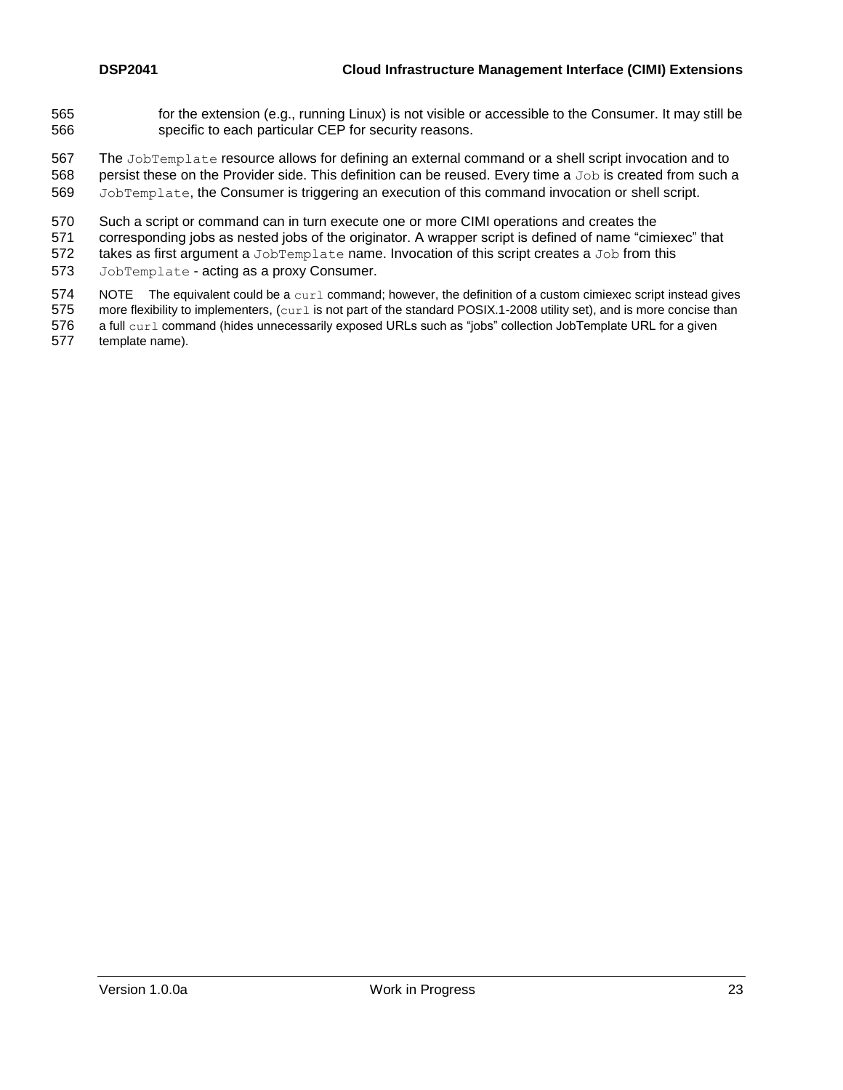565 for the extension (e.g., running Linux) is not visible or accessible to the Consumer. It may still be 566 specific to each particular CEP for security reasons.

567 The JobTemplate resource allows for defining an external command or a shell script invocation and to

568 persist these on the Provider side. This definition can be reused. Every time a Job is created from such a 569 JobTemplate, the Consumer is triggering an execution of this command invocation or shell script.

570 Such a script or command can in turn execute one or more CIMI operations and creates the

571 corresponding jobs as nested jobs of the originator. A wrapper script is defined of name "cimiexec" that

572 takes as first argument a JobTemplate name. Invocation of this script creates a Job from this

573 JobTemplate - acting as a proxy Consumer.

574 NOTE The equivalent could be a curl command; however, the definition of a custom cimiexec script instead gives

575 more flexibility to implementers, (curl is not part of the standard POSIX.1-2008 utility set), and is more concise than 576 a full cur1 command (hides unnecessarily exposed URLs such as "jobs" collection JobTemplate URL for a given<br>577 template name). template name).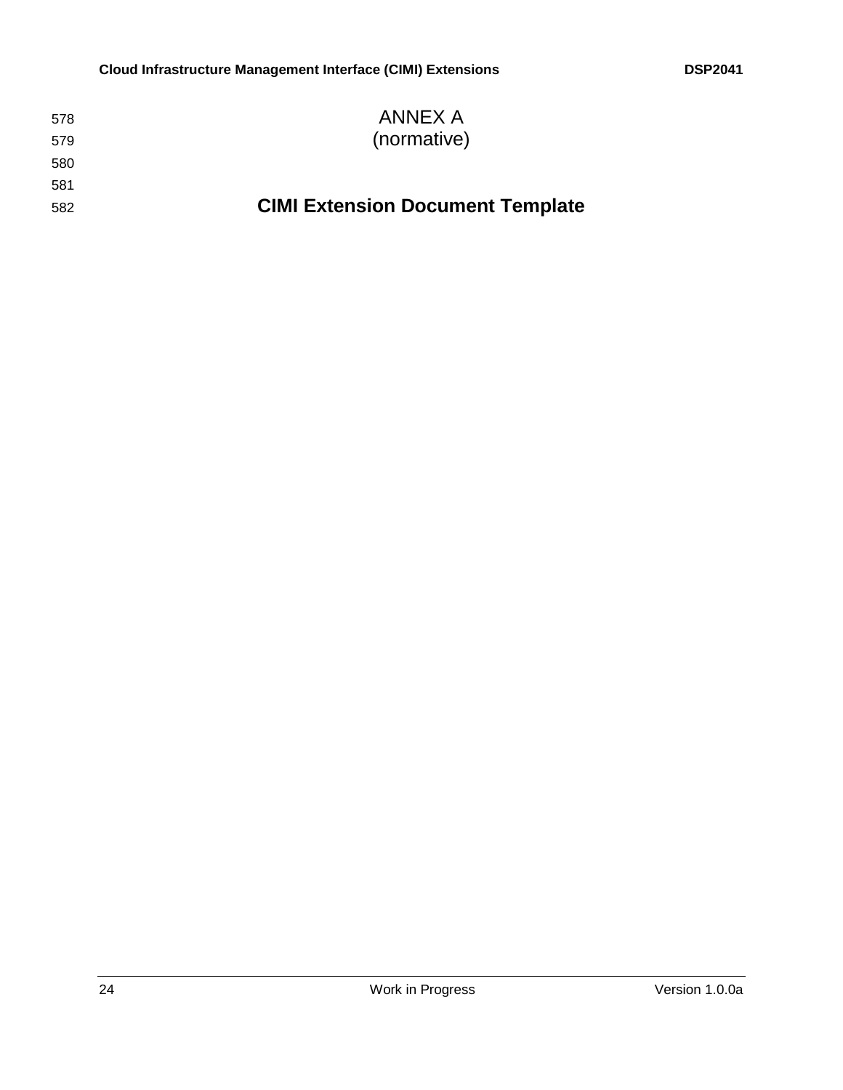<span id="page-23-1"></span><span id="page-23-0"></span>

| ANNEX A<br>578                                 |  |
|------------------------------------------------|--|
| (normative)<br>579                             |  |
| 580                                            |  |
| 581                                            |  |
| <b>CIMI Extension Document Template</b><br>582 |  |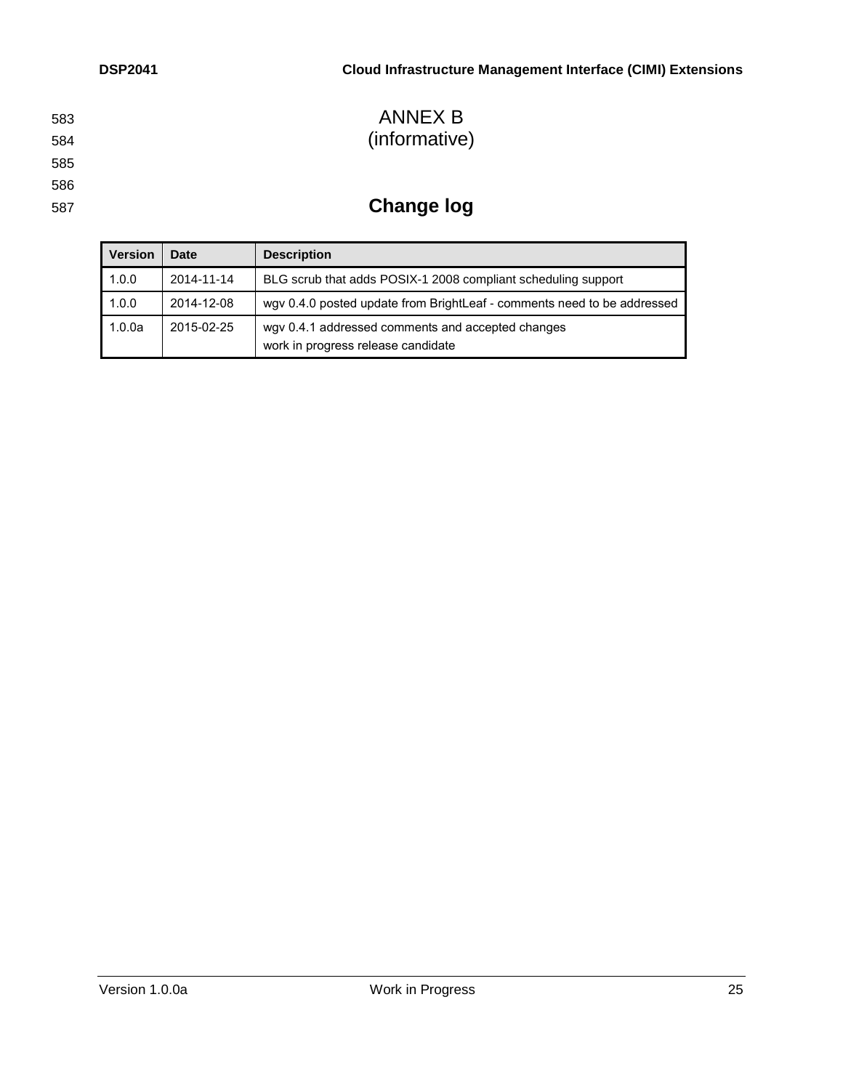<span id="page-24-0"></span>583 ANNEX B 584 (informative) 585 586 587 **Change log**

| <b>Version</b> | Date       | <b>Description</b>                                                                      |  |
|----------------|------------|-----------------------------------------------------------------------------------------|--|
| 1.0.0          | 2014-11-14 | BLG scrub that adds POSIX-1 2008 compliant scheduling support                           |  |
| 1.0.0          | 2014-12-08 | wgy 0.4.0 posted update from BrightLeaf - comments need to be addressed                 |  |
| 1.0.0a         | 2015-02-25 | wgy 0.4.1 addressed comments and accepted changes<br>work in progress release candidate |  |